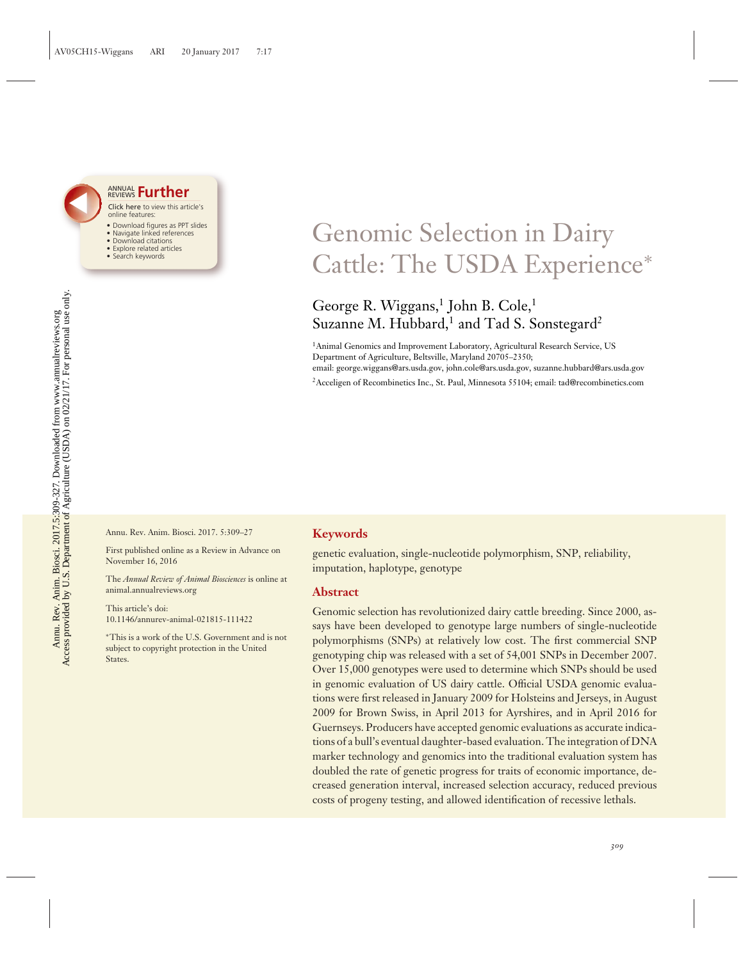

#### Click here to view this article's online features: ANNUAL REVIEWS **[Further](http://www.annualreviews.org/doi/full/10.1146/annurev-animal-021815-111422)**

- Download figures as PPT slides
- Navigate linked references • Download citations
- Explore related articles
- Search keywords

# Genomic Selection in Dairy Cattle: The USDA Experience<sup>∗</sup>

## George R. Wiggans,<sup>1</sup> John B. Cole,<sup>1</sup> Suzanne M. Hubbard,<sup>1</sup> and Tad S. Sonstegard<sup>2</sup>

<sup>1</sup>Animal Genomics and Improvement Laboratory, Agricultural Research Service, US Department of Agriculture, Beltsville, Maryland 20705–2350; email: george.wiggans@ars.usda.gov, john.cole@ars.usda.gov, suzanne.hubbard@ars.usda.gov

2Acceligen of Recombinetics Inc., St. Paul, Minnesota 55104; email: tad@recombinetics.com

Annu. Rev. Anim. Biosci. 2017. 5:309–27

First published online as a Review in Advance on November 16, 2016

The *Annual Review of Animal Biosciences* is online at animal.annualreviews.org

This article's doi: 10.1146/annurev-animal-021815-111422

∗This is a work of the U.S. Government and is not subject to copyright protection in the United States.

## **Keywords**

genetic evaluation, single-nucleotide polymorphism, SNP, reliability, imputation, haplotype, genotype

## **Abstract**

Genomic selection has revolutionized dairy cattle breeding. Since 2000, assays have been developed to genotype large numbers of single-nucleotide polymorphisms (SNPs) at relatively low cost. The first commercial SNP genotyping chip was released with a set of 54,001 SNPs in December 2007. Over 15,000 genotypes were used to determine which SNPs should be used in genomic evaluation of US dairy cattle. Official USDA genomic evaluations were first released in January 2009 for Holsteins and Jerseys, in August 2009 for Brown Swiss, in April 2013 for Ayrshires, and in April 2016 for Guernseys. Producers have accepted genomic evaluations as accurate indications of a bull's eventual daughter-based evaluation. The integration of DNA marker technology and genomics into the traditional evaluation system has doubled the rate of genetic progress for traits of economic importance, decreased generation interval, increased selection accuracy, reduced previous costs of progeny testing, and allowed identification of recessive lethals.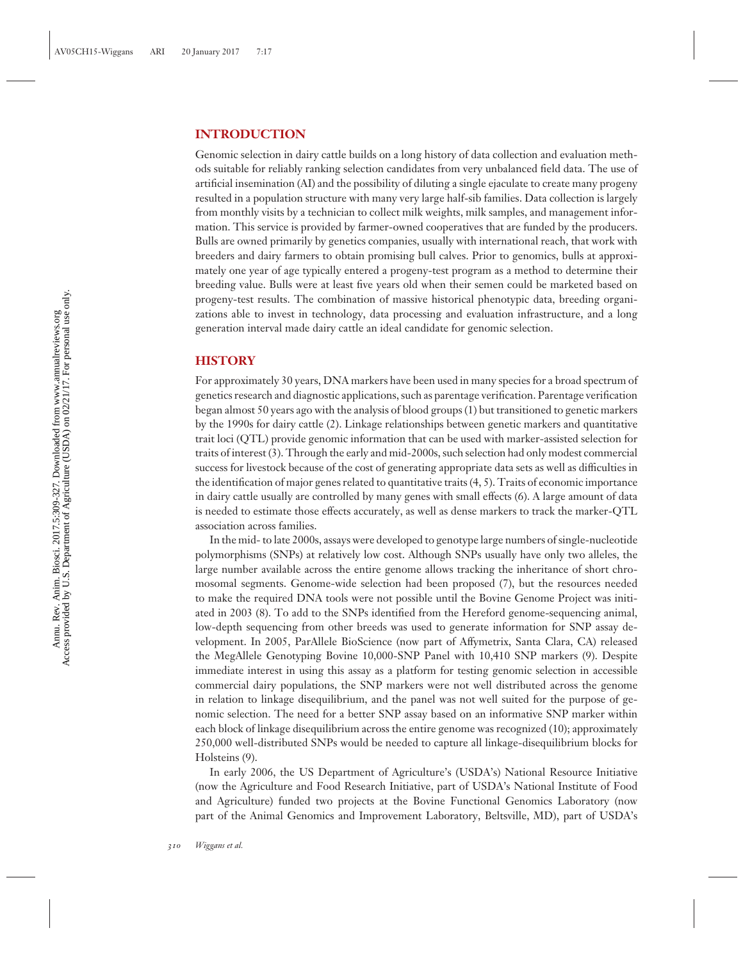## **INTRODUCTION**

Genomic selection in dairy cattle builds on a long history of data collection and evaluation methods suitable for reliably ranking selection candidates from very unbalanced field data. The use of artificial insemination (AI) and the possibility of diluting a single ejaculate to create many progeny resulted in a population structure with many very large half-sib families. Data collection is largely from monthly visits by a technician to collect milk weights, milk samples, and management information. This service is provided by farmer-owned cooperatives that are funded by the producers. Bulls are owned primarily by genetics companies, usually with international reach, that work with breeders and dairy farmers to obtain promising bull calves. Prior to genomics, bulls at approximately one year of age typically entered a progeny-test program as a method to determine their breeding value. Bulls were at least five years old when their semen could be marketed based on progeny-test results. The combination of massive historical phenotypic data, breeding organizations able to invest in technology, data processing and evaluation infrastructure, and a long generation interval made dairy cattle an ideal candidate for genomic selection.

## **HISTORY**

For approximately 30 years, DNA markers have been used in many species for a broad spectrum of genetics research and diagnostic applications, such as parentage verification. Parentage verification began almost 50 years ago with the analysis of blood groups (1) but transitioned to genetic markers by the 1990s for dairy cattle (2). Linkage relationships between genetic markers and quantitative trait loci (QTL) provide genomic information that can be used with marker-assisted selection for traits of interest (3). Through the early and mid-2000s, such selection had only modest commercial success for livestock because of the cost of generating appropriate data sets as well as difficulties in the identification of major genes related to quantitative traits (4, 5). Traits of economic importance in dairy cattle usually are controlled by many genes with small effects (6). A large amount of data is needed to estimate those effects accurately, as well as dense markers to track the marker-QTL association across families.

In the mid- to late 2000s, assays were developed to genotype large numbers of single-nucleotide polymorphisms (SNPs) at relatively low cost. Although SNPs usually have only two alleles, the large number available across the entire genome allows tracking the inheritance of short chromosomal segments. Genome-wide selection had been proposed (7), but the resources needed to make the required DNA tools were not possible until the Bovine Genome Project was initiated in 2003 (8). To add to the SNPs identified from the Hereford genome-sequencing animal, low-depth sequencing from other breeds was used to generate information for SNP assay development. In 2005, ParAllele BioScience (now part of Affymetrix, Santa Clara, CA) released the MegAllele Genotyping Bovine 10,000-SNP Panel with 10,410 SNP markers (9). Despite immediate interest in using this assay as a platform for testing genomic selection in accessible commercial dairy populations, the SNP markers were not well distributed across the genome in relation to linkage disequilibrium, and the panel was not well suited for the purpose of genomic selection. The need for a better SNP assay based on an informative SNP marker within each block of linkage disequilibrium across the entire genome was recognized (10); approximately 250,000 well-distributed SNPs would be needed to capture all linkage-disequilibrium blocks for Holsteins (9).

In early 2006, the US Department of Agriculture's (USDA's) National Resource Initiative (now the Agriculture and Food Research Initiative, part of USDA's National Institute of Food and Agriculture) funded two projects at the Bovine Functional Genomics Laboratory (now part of the Animal Genomics and Improvement Laboratory, Beltsville, MD), part of USDA's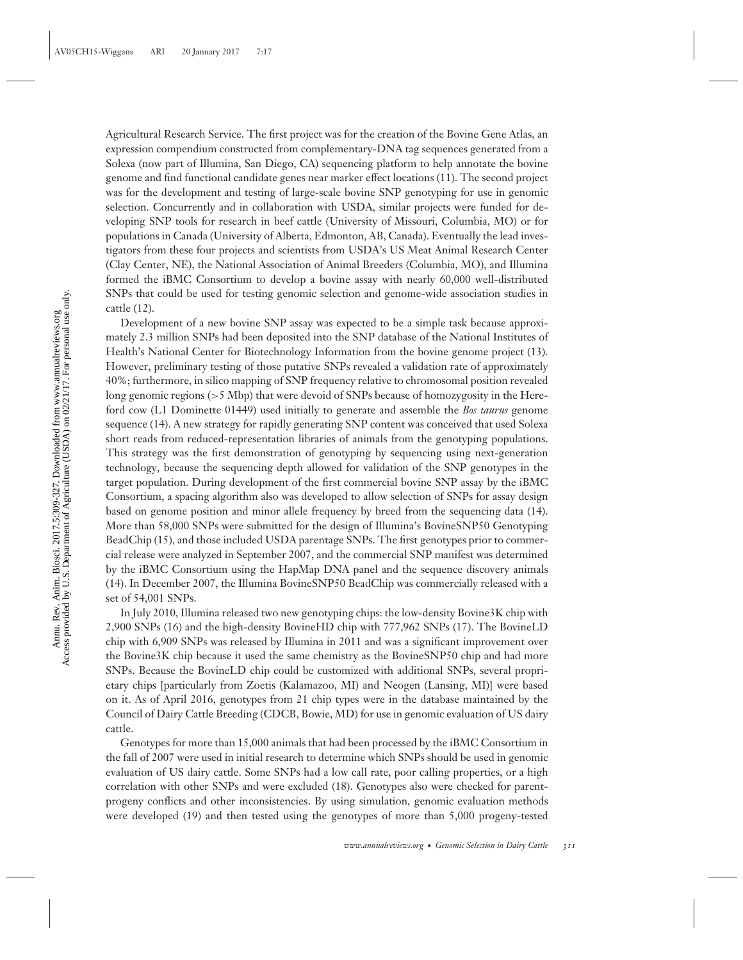Agricultural Research Service. The first project was for the creation of the Bovine Gene Atlas, an expression compendium constructed from complementary-DNA tag sequences generated from a Solexa (now part of Illumina, San Diego, CA) sequencing platform to help annotate the bovine genome and find functional candidate genes near marker effect locations (11). The second project was for the development and testing of large-scale bovine SNP genotyping for use in genomic selection. Concurrently and in collaboration with USDA, similar projects were funded for developing SNP tools for research in beef cattle (University of Missouri, Columbia, MO) or for populations in Canada (University of Alberta, Edmonton, AB, Canada). Eventually the lead investigators from these four projects and scientists from USDA's US Meat Animal Research Center (Clay Center, NE), the National Association of Animal Breeders (Columbia, MO), and Illumina formed the iBMC Consortium to develop a bovine assay with nearly 60,000 well-distributed SNPs that could be used for testing genomic selection and genome-wide association studies in cattle (12).

Development of a new bovine SNP assay was expected to be a simple task because approximately 2.3 million SNPs had been deposited into the SNP database of the National Institutes of Health's National Center for Biotechnology Information from the bovine genome project (13). However, preliminary testing of those putative SNPs revealed a validation rate of approximately 40%; furthermore, in silico mapping of SNP frequency relative to chromosomal position revealed long genomic regions (*>*5 Mbp) that were devoid of SNPs because of homozygosity in the Hereford cow (L1 Dominette 01449) used initially to generate and assemble the *Bos taurus* genome sequence (14). A new strategy for rapidly generating SNP content was conceived that used Solexa short reads from reduced-representation libraries of animals from the genotyping populations. This strategy was the first demonstration of genotyping by sequencing using next-generation technology, because the sequencing depth allowed for validation of the SNP genotypes in the target population. During development of the first commercial bovine SNP assay by the iBMC Consortium, a spacing algorithm also was developed to allow selection of SNPs for assay design based on genome position and minor allele frequency by breed from the sequencing data (14). More than 58,000 SNPs were submitted for the design of Illumina's BovineSNP50 Genotyping BeadChip (15), and those included USDA parentage SNPs. The first genotypes prior to commercial release were analyzed in September 2007, and the commercial SNP manifest was determined by the iBMC Consortium using the HapMap DNA panel and the sequence discovery animals (14). In December 2007, the Illumina BovineSNP50 BeadChip was commercially released with a set of 54,001 SNPs.

In July 2010, Illumina released two new genotyping chips: the low-density Bovine3K chip with 2,900 SNPs (16) and the high-density BovineHD chip with 777,962 SNPs (17). The BovineLD chip with 6,909 SNPs was released by Illumina in 2011 and was a significant improvement over the Bovine3K chip because it used the same chemistry as the BovineSNP50 chip and had more SNPs. Because the BovineLD chip could be customized with additional SNPs, several proprietary chips [particularly from Zoetis (Kalamazoo, MI) and Neogen (Lansing, MI)] were based on it. As of April 2016, genotypes from 21 chip types were in the database maintained by the Council of Dairy Cattle Breeding (CDCB, Bowie, MD) for use in genomic evaluation of US dairy cattle.

Genotypes for more than 15,000 animals that had been processed by the iBMC Consortium in the fall of 2007 were used in initial research to determine which SNPs should be used in genomic evaluation of US dairy cattle. Some SNPs had a low call rate, poor calling properties, or a high correlation with other SNPs and were excluded (18). Genotypes also were checked for parentprogeny conflicts and other inconsistencies. By using simulation, genomic evaluation methods were developed (19) and then tested using the genotypes of more than 5,000 progeny-tested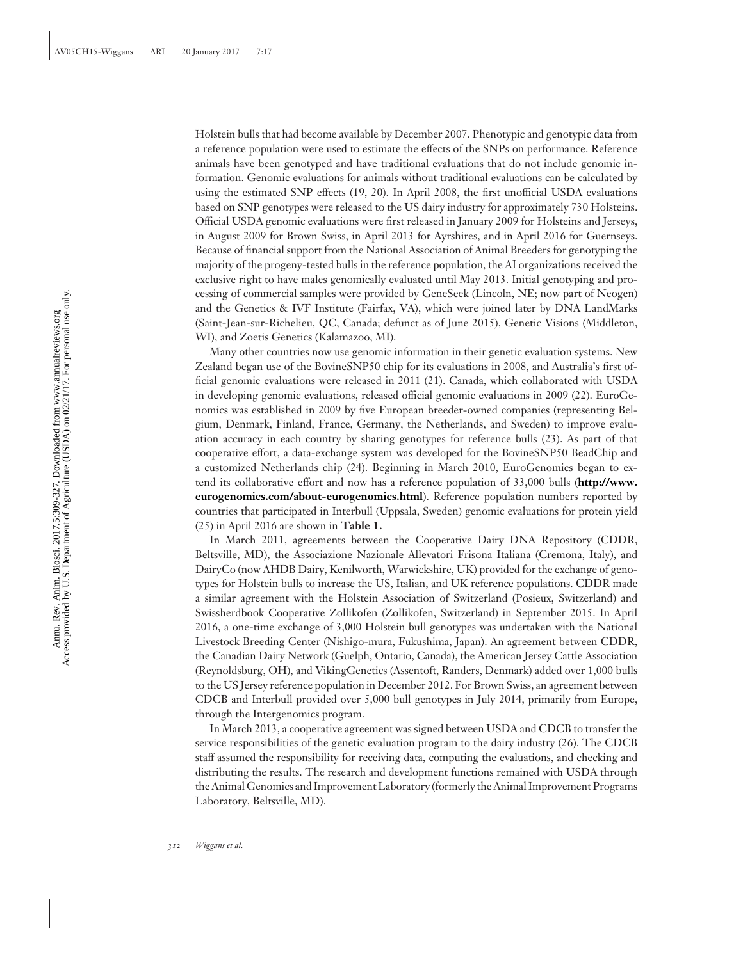Holstein bulls that had become available by December 2007. Phenotypic and genotypic data from a reference population were used to estimate the effects of the SNPs on performance. Reference animals have been genotyped and have traditional evaluations that do not include genomic information. Genomic evaluations for animals without traditional evaluations can be calculated by using the estimated SNP effects (19, 20). In April 2008, the first unofficial USDA evaluations based on SNP genotypes were released to the US dairy industry for approximately 730 Holsteins. Official USDA genomic evaluations were first released in January 2009 for Holsteins and Jerseys, in August 2009 for Brown Swiss, in April 2013 for Ayrshires, and in April 2016 for Guernseys. Because of financial support from the National Association of Animal Breeders for genotyping the majority of the progeny-tested bulls in the reference population, the AI organizations received the exclusive right to have males genomically evaluated until May 2013. Initial genotyping and processing of commercial samples were provided by GeneSeek (Lincoln, NE; now part of Neogen) and the Genetics & IVF Institute (Fairfax, VA), which were joined later by DNA LandMarks (Saint-Jean-sur-Richelieu, QC, Canada; defunct as of June 2015), Genetic Visions (Middleton, WI), and Zoetis Genetics (Kalamazoo, MI).

Many other countries now use genomic information in their genetic evaluation systems. New Zealand began use of the BovineSNP50 chip for its evaluations in 2008, and Australia's first official genomic evaluations were released in 2011 (21). Canada, which collaborated with USDA in developing genomic evaluations, released official genomic evaluations in 2009 (22). EuroGenomics was established in 2009 by five European breeder-owned companies (representing Belgium, Denmark, Finland, France, Germany, the Netherlands, and Sweden) to improve evaluation accuracy in each country by sharing genotypes for reference bulls (23). As part of that cooperative effort, a data-exchange system was developed for the BovineSNP50 BeadChip and a customized Netherlands chip (24). Beginning in March 2010, EuroGenomics began to extend its collaborative effort and now has a reference population of 33,000 bulls (**[http://www.](http://www.eurogenomics.com/about-eurogenomics.html) [eurogenomics.com/about-eurogenomics.html](http://www.eurogenomics.com/about-eurogenomics.html)**). Reference population numbers reported by countries that participated in Interbull (Uppsala, Sweden) genomic evaluations for protein yield (25) in April 2016 are shown in **Table 1.**

In March 2011, agreements between the Cooperative Dairy DNA Repository (CDDR, Beltsville, MD), the Associazione Nazionale Allevatori Frisona Italiana (Cremona, Italy), and DairyCo (now AHDB Dairy, Kenilworth, Warwickshire, UK) provided for the exchange of genotypes for Holstein bulls to increase the US, Italian, and UK reference populations. CDDR made a similar agreement with the Holstein Association of Switzerland (Posieux, Switzerland) and Swissherdbook Cooperative Zollikofen (Zollikofen, Switzerland) in September 2015. In April 2016, a one-time exchange of 3,000 Holstein bull genotypes was undertaken with the National Livestock Breeding Center (Nishigo-mura, Fukushima, Japan). An agreement between CDDR, the Canadian Dairy Network (Guelph, Ontario, Canada), the American Jersey Cattle Association (Reynoldsburg, OH), and VikingGenetics (Assentoft, Randers, Denmark) added over 1,000 bulls to the US Jersey reference population in December 2012. For Brown Swiss, an agreement between CDCB and Interbull provided over 5,000 bull genotypes in July 2014, primarily from Europe, through the Intergenomics program.

In March 2013, a cooperative agreement was signed between USDA and CDCB to transfer the service responsibilities of the genetic evaluation program to the dairy industry (26). The CDCB staff assumed the responsibility for receiving data, computing the evaluations, and checking and distributing the results. The research and development functions remained with USDA through the Animal Genomics and Improvement Laboratory (formerly the Animal Improvement Programs Laboratory, Beltsville, MD).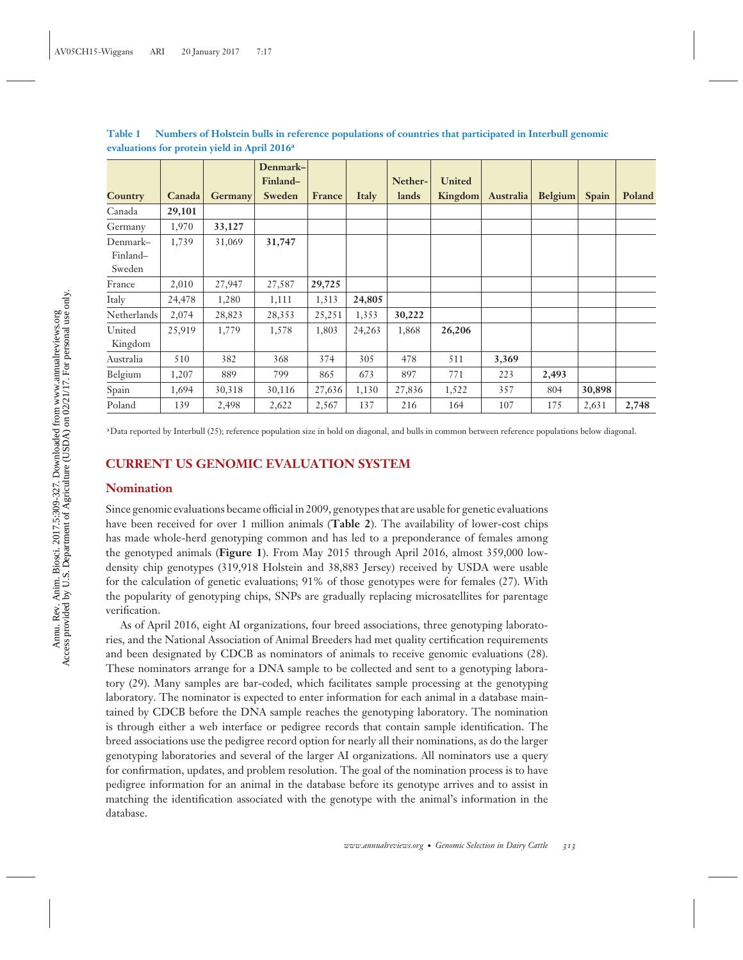**Country Canada Germany Denmark– Finland– Sweden France Italy Netherlands United Kingdom Australia Belgium Spain Poland** Canada **29,101** Germany 1,970 **33,127** Denmark– Finland– Sweden 1,739 31,069 **31,747** France 2,010 27,947 27,587 **29,725** Italy 24,478 1,280 1,111 1,313 **24,805** Netherlands 2,074 28,823 28,353 25,251 1,353 **30,222** United Kingdom 25,919 1,779 1,578 1,803 24,263 1,868 **26,206** Australia 510 382 368 374 305 478 511 **3,369** Belgium 1,207 889 799 865 673 897 771 223 **2,493** Spain 1,694 30,318 30,116 27,636 1,130 27,836 1,522 357 804 **30,898** Poland 139 2,498 2,622 2,567 137 216 164 107 175 2,631 **2,748**

**Table 1 Numbers of Holstein bulls in reference populations of countries that participated in Interbull genomic evaluations for protein yield in April 2016a**

aData reported by Interbull (25); reference population size in bold on diagonal, and bulls in common between reference populations below diagonal.

## **CURRENT US GENOMIC EVALUATION SYSTEM**

## **Nomination**

Since genomic evaluations became official in 2009, genotypes that are usable for genetic evaluations have been received for over 1 million animals (**Table 2**). The availability of lower-cost chips has made whole-herd genotyping common and has led to a preponderance of females among the genotyped animals (**Figure 1**). From May 2015 through April 2016, almost 359,000 lowdensity chip genotypes (319,918 Holstein and 38,883 Jersey) received by USDA were usable for the calculation of genetic evaluations; 91% of those genotypes were for females (27). With the popularity of genotyping chips, SNPs are gradually replacing microsatellites for parentage verification.

As of April 2016, eight AI organizations, four breed associations, three genotyping laboratories, and the National Association of Animal Breeders had met quality certification requirements and been designated by CDCB as nominators of animals to receive genomic evaluations (28). These nominators arrange for a DNA sample to be collected and sent to a genotyping laboratory (29). Many samples are bar-coded, which facilitates sample processing at the genotyping laboratory. The nominator is expected to enter information for each animal in a database maintained by CDCB before the DNA sample reaches the genotyping laboratory. The nomination is through either a web interface or pedigree records that contain sample identification. The breed associations use the pedigree record option for nearly all their nominations, as do the larger genotyping laboratories and several of the larger AI organizations. All nominators use a query for confirmation, updates, and problem resolution. The goal of the nomination process is to have pedigree information for an animal in the database before its genotype arrives and to assist in matching the identification associated with the genotype with the animal's information in the database.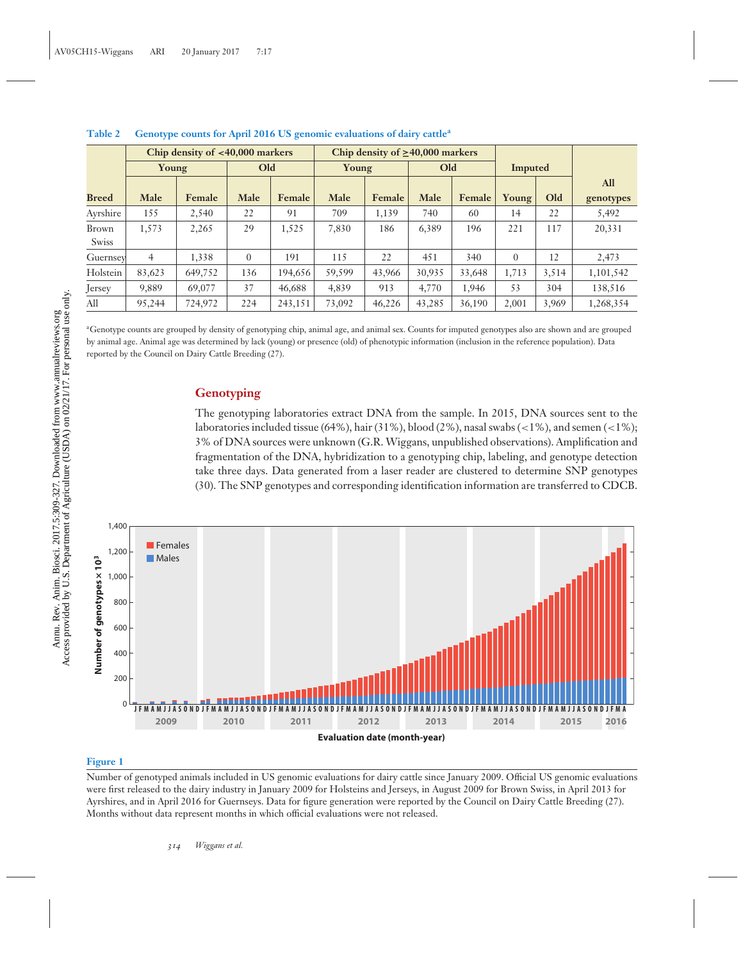|              | Chip density of $<$ 40,000 markers |         |              |         | Chip density of $\geq 40,000$ markers |        |        |        |          |       |            |
|--------------|------------------------------------|---------|--------------|---------|---------------------------------------|--------|--------|--------|----------|-------|------------|
|              | Young                              |         | Old          |         | Young                                 |        | Old    |        | Imputed  |       |            |
|              |                                    |         |              |         |                                       |        |        |        |          |       | <b>All</b> |
| <b>Breed</b> | Male                               | Female  | Male         | Female  | Male                                  | Female | Male   | Female | Young    | Old   | genotypes  |
| Ayrshire     | 155                                | 2,540   | 22           | 91      | 709                                   | 1,139  | 740    | 60     | 14       | 22    | 5,492      |
| Brown        | 1,573                              | 2,265   | 29           | 1,525   | 7,830                                 | 186    | 6,389  | 196    | 221      | 117   | 20,331     |
| Swiss        |                                    |         |              |         |                                       |        |        |        |          |       |            |
| Guernsey     | 4                                  | 1,338   | $\mathbf{0}$ | 191     | 115                                   | 22     | 451    | 340    | $\Omega$ | 12    | 2,473      |
| Holstein     | 83,623                             | 649,752 | 136          | 194.656 | 59,599                                | 43,966 | 30,935 | 33,648 | 1,713    | 3,514 | 1,101,542  |
| Jersey       | 9,889                              | 69,077  | 37           | 46,688  | 4,839                                 | 913    | 4,770  | 1,946  | 53       | 304   | 138,516    |
| All          | 95,244                             | 724,972 | 224          | 243,151 | 73,092                                | 46,226 | 43,285 | 36,190 | 2,001    | 3,969 | 1,268,354  |

## **Table 2 Genotype counts for April 2016 US genomic evaluations of dairy cattle<sup>a</sup>**

aGenotype counts are grouped by density of genotyping chip, animal age, and animal sex. Counts for imputed genotypes also are shown and are grouped by animal age. Animal age was determined by lack (young) or presence (old) of phenotypic information (inclusion in the reference population). Data reported by the Council on Dairy Cattle Breeding (27).

## **Genotyping**

The genotyping laboratories extract DNA from the sample. In 2015, DNA sources sent to the laboratories included tissue (64%), hair (31%), blood (2%), nasal swabs (*<*1%), and semen (*<*1%); 3% of DNA sources were unknown (G.R. Wiggans, unpublished observations). Amplification and fragmentation of the DNA, hybridization to a genotyping chip, labeling, and genotype detection take three days. Data generated from a laser reader are clustered to determine SNP genotypes (30). The SNP genotypes and corresponding identification information are transferred to CDCB.



#### **Figure 1**

Number of genotyped animals included in US genomic evaluations for dairy cattle since January 2009. Official US genomic evaluations were first released to the dairy industry in January 2009 for Holsteins and Jerseys, in August 2009 for Brown Swiss, in April 2013 for Ayrshires, and in April 2016 for Guernseys. Data for figure generation were reported by the Council on Dairy Cattle Breeding (27). Months without data represent months in which official evaluations were not released.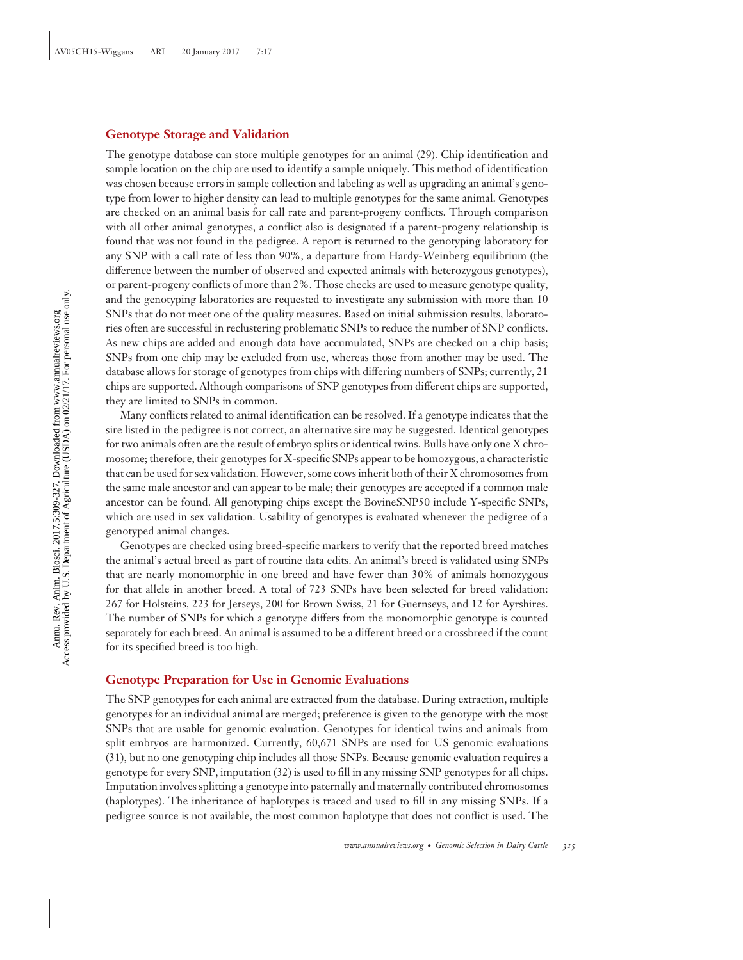## **Genotype Storage and Validation**

The genotype database can store multiple genotypes for an animal (29). Chip identification and sample location on the chip are used to identify a sample uniquely. This method of identification was chosen because errors in sample collection and labeling as well as upgrading an animal's genotype from lower to higher density can lead to multiple genotypes for the same animal. Genotypes are checked on an animal basis for call rate and parent-progeny conflicts. Through comparison with all other animal genotypes, a conflict also is designated if a parent-progeny relationship is found that was not found in the pedigree. A report is returned to the genotyping laboratory for any SNP with a call rate of less than 90%, a departure from Hardy-Weinberg equilibrium (the difference between the number of observed and expected animals with heterozygous genotypes), or parent-progeny conflicts of more than 2%. Those checks are used to measure genotype quality, and the genotyping laboratories are requested to investigate any submission with more than 10 SNPs that do not meet one of the quality measures. Based on initial submission results, laboratories often are successful in reclustering problematic SNPs to reduce the number of SNP conflicts. As new chips are added and enough data have accumulated, SNPs are checked on a chip basis; SNPs from one chip may be excluded from use, whereas those from another may be used. The database allows for storage of genotypes from chips with differing numbers of SNPs; currently, 21 chips are supported. Although comparisons of SNP genotypes from different chips are supported, they are limited to SNPs in common.

Many conflicts related to animal identification can be resolved. If a genotype indicates that the sire listed in the pedigree is not correct, an alternative sire may be suggested. Identical genotypes for two animals often are the result of embryo splits or identical twins. Bulls have only one X chromosome; therefore, their genotypes for X-specific SNPs appear to be homozygous, a characteristic that can be used for sex validation. However, some cows inherit both of their X chromosomes from the same male ancestor and can appear to be male; their genotypes are accepted if a common male ancestor can be found. All genotyping chips except the BovineSNP50 include Y-specific SNPs, which are used in sex validation. Usability of genotypes is evaluated whenever the pedigree of a genotyped animal changes.

Genotypes are checked using breed-specific markers to verify that the reported breed matches the animal's actual breed as part of routine data edits. An animal's breed is validated using SNPs that are nearly monomorphic in one breed and have fewer than 30% of animals homozygous for that allele in another breed. A total of 723 SNPs have been selected for breed validation: 267 for Holsteins, 223 for Jerseys, 200 for Brown Swiss, 21 for Guernseys, and 12 for Ayrshires. The number of SNPs for which a genotype differs from the monomorphic genotype is counted separately for each breed. An animal is assumed to be a different breed or a crossbreed if the count for its specified breed is too high.

## **Genotype Preparation for Use in Genomic Evaluations**

The SNP genotypes for each animal are extracted from the database. During extraction, multiple genotypes for an individual animal are merged; preference is given to the genotype with the most SNPs that are usable for genomic evaluation. Genotypes for identical twins and animals from split embryos are harmonized. Currently, 60,671 SNPs are used for US genomic evaluations (31), but no one genotyping chip includes all those SNPs. Because genomic evaluation requires a genotype for every SNP, imputation (32) is used to fill in any missing SNP genotypes for all chips. Imputation involves splitting a genotype into paternally and maternally contributed chromosomes (haplotypes). The inheritance of haplotypes is traced and used to fill in any missing SNPs. If a pedigree source is not available, the most common haplotype that does not conflict is used. The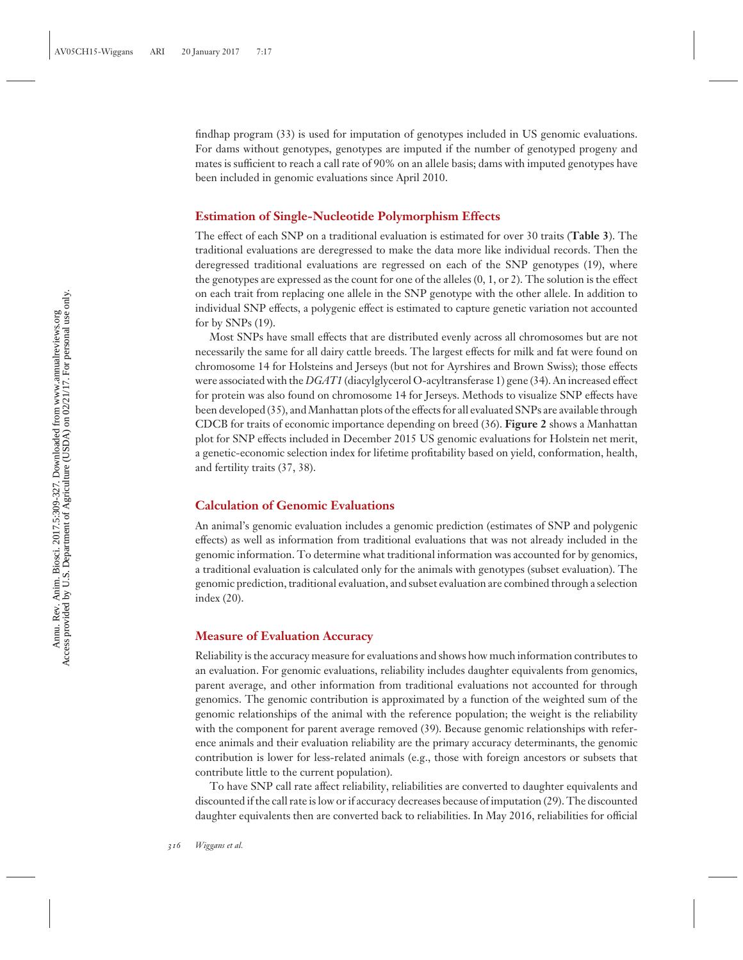findhap program (33) is used for imputation of genotypes included in US genomic evaluations. For dams without genotypes, genotypes are imputed if the number of genotyped progeny and mates is sufficient to reach a call rate of 90% on an allele basis; dams with imputed genotypes have been included in genomic evaluations since April 2010.

## **Estimation of Single-Nucleotide Polymorphism Effects**

The effect of each SNP on a traditional evaluation is estimated for over 30 traits (**Table 3**). The traditional evaluations are deregressed to make the data more like individual records. Then the deregressed traditional evaluations are regressed on each of the SNP genotypes (19), where the genotypes are expressed as the count for one of the alleles (0, 1, or 2). The solution is the effect on each trait from replacing one allele in the SNP genotype with the other allele. In addition to individual SNP effects, a polygenic effect is estimated to capture genetic variation not accounted for by SNPs (19).

Most SNPs have small effects that are distributed evenly across all chromosomes but are not necessarily the same for all dairy cattle breeds. The largest effects for milk and fat were found on chromosome 14 for Holsteins and Jerseys (but not for Ayrshires and Brown Swiss); those effects were associated with the *DGAT1* (diacylglycerol O-acyltransferase 1) gene (34). An increased effect for protein was also found on chromosome 14 for Jerseys. Methods to visualize SNP effects have been developed (35), andManhattan plots of the effects for all evaluated SNPs are available through CDCB for traits of economic importance depending on breed (36). **Figure 2** shows a Manhattan plot for SNP effects included in December 2015 US genomic evaluations for Holstein net merit, a genetic-economic selection index for lifetime profitability based on yield, conformation, health, and fertility traits (37, 38).

## **Calculation of Genomic Evaluations**

An animal's genomic evaluation includes a genomic prediction (estimates of SNP and polygenic effects) as well as information from traditional evaluations that was not already included in the genomic information. To determine what traditional information was accounted for by genomics, a traditional evaluation is calculated only for the animals with genotypes (subset evaluation). The genomic prediction, traditional evaluation, and subset evaluation are combined through a selection index (20).

## **Measure of Evaluation Accuracy**

Reliability is the accuracy measure for evaluations and shows how much information contributes to an evaluation. For genomic evaluations, reliability includes daughter equivalents from genomics, parent average, and other information from traditional evaluations not accounted for through genomics. The genomic contribution is approximated by a function of the weighted sum of the genomic relationships of the animal with the reference population; the weight is the reliability with the component for parent average removed (39). Because genomic relationships with reference animals and their evaluation reliability are the primary accuracy determinants, the genomic contribution is lower for less-related animals (e.g., those with foreign ancestors or subsets that contribute little to the current population).

To have SNP call rate affect reliability, reliabilities are converted to daughter equivalents and discounted if the call rate is low or if accuracy decreases because of imputation (29). The discounted daughter equivalents then are converted back to reliabilities. In May 2016, reliabilities for official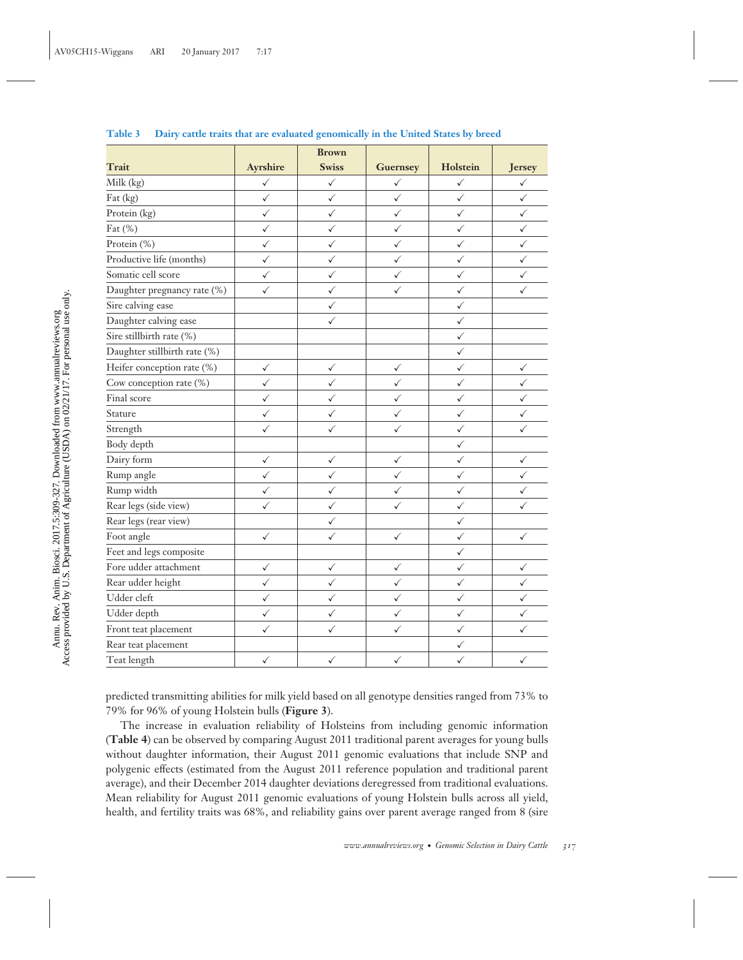|                              |              | <b>Brown</b> |                 |              |              |
|------------------------------|--------------|--------------|-----------------|--------------|--------------|
| Trait                        | Ayrshire     | <b>Swiss</b> | <b>Guernsey</b> | Holstein     | Jersey       |
| Milk (kg)                    | $\checkmark$ | $\checkmark$ | ✓               | $\checkmark$ | ✓            |
| Fat (kg)                     | $\checkmark$ | ✓            | ✓               | $\checkmark$ | ✓            |
| Protein (kg)                 | $\checkmark$ | $\checkmark$ | $\checkmark$    | $\checkmark$ | ✓            |
| Fat (%)                      | $\checkmark$ | ✓            | $\checkmark$    | $\checkmark$ | $\checkmark$ |
| Protein (%)                  | $\checkmark$ | $\checkmark$ | $\checkmark$    | $\checkmark$ | ✓            |
| Productive life (months)     | $\checkmark$ | $\checkmark$ | $\checkmark$    | ✓            | ✓            |
| Somatic cell score           | ✓            | $\checkmark$ | ✓               | ✓            | ✓            |
| Daughter pregnancy rate (%)  | ✓            | ✓            | ✓               | ✓            | ✓            |
| Sire calving ease            |              | $\checkmark$ |                 | ✓            |              |
| Daughter calving ease        |              | ✓            |                 | $\checkmark$ |              |
| Sire stillbirth rate (%)     |              |              |                 | $\checkmark$ |              |
| Daughter stillbirth rate (%) |              |              |                 | $\checkmark$ |              |
| Heifer conception rate (%)   | ✓            | ✓            | ✓               | $\checkmark$ | ✓            |
| Cow conception rate (%)      | $\checkmark$ | $\checkmark$ | $\checkmark$    | $\checkmark$ | $\checkmark$ |
| Final score                  | ✓            | ✓            | $\checkmark$    | $\checkmark$ | ✓            |
| Stature                      | $\checkmark$ | $\checkmark$ | $\checkmark$    | $\checkmark$ | ✓            |
| Strength                     | $\checkmark$ | ✓            | $\checkmark$    | $\checkmark$ | ✓            |
| Body depth                   |              |              |                 | $\checkmark$ |              |
| Dairy form                   | $\checkmark$ | $\checkmark$ | $\checkmark$    | $\checkmark$ | ✓            |
| Rump angle                   | $\checkmark$ | $\checkmark$ | $\checkmark$    | $\checkmark$ | ✓            |
| Rump width                   | $\checkmark$ | $\checkmark$ | $\checkmark$    | $\checkmark$ | ✓            |
| Rear legs (side view)        | ✓            | $\checkmark$ | ✓               | $\checkmark$ | ✓            |
| Rear legs (rear view)        |              | ✓            |                 | $\checkmark$ |              |
| Foot angle                   | $\checkmark$ | $\checkmark$ | $\checkmark$    | $\checkmark$ | $\checkmark$ |
| Feet and legs composite      |              |              |                 | $\checkmark$ |              |
| Fore udder attachment        | $\checkmark$ | $\checkmark$ | ✓               | $\checkmark$ | ✓            |
| Rear udder height            | $\checkmark$ | $\checkmark$ | $\checkmark$    | $\checkmark$ | ✓            |
| Udder cleft                  | $\checkmark$ | $\checkmark$ | $\checkmark$    | $\checkmark$ | ✓            |
| Udder depth                  | $\checkmark$ | $\checkmark$ | ✓               | $\checkmark$ | ✓            |
| Front teat placement         | ✓            | ✓            | ✓               | $\checkmark$ | ✓            |
| Rear teat placement          |              |              |                 | $\checkmark$ |              |
| Teat length                  | $\checkmark$ | ✓            | $\checkmark$    | $\checkmark$ | $\checkmark$ |

**Table 3 Dairy cattle traits that are evaluated genomically in the United States by breed**

predicted transmitting abilities for milk yield based on all genotype densities ranged from 73% to 79% for 96% of young Holstein bulls (**Figure 3**).

The increase in evaluation reliability of Holsteins from including genomic information (**Table 4**) can be observed by comparing August 2011 traditional parent averages for young bulls without daughter information, their August 2011 genomic evaluations that include SNP and polygenic effects (estimated from the August 2011 reference population and traditional parent average), and their December 2014 daughter deviations deregressed from traditional evaluations. Mean reliability for August 2011 genomic evaluations of young Holstein bulls across all yield, health, and fertility traits was 68%, and reliability gains over parent average ranged from 8 (sire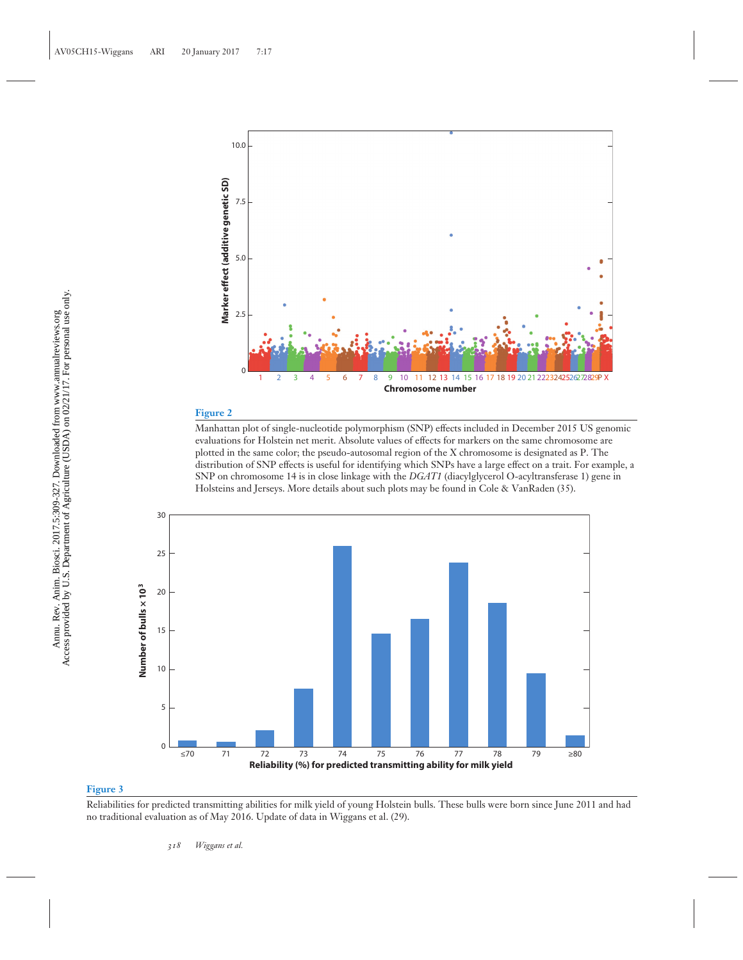

## **Figure 2**

Manhattan plot of single-nucleotide polymorphism (SNP) effects included in December 2015 US genomic evaluations for Holstein net merit. Absolute values of effects for markers on the same chromosome are plotted in the same color; the pseudo-autosomal region of the X chromosome is designated as P. The distribution of SNP effects is useful for identifying which SNPs have a large effect on a trait. For example, a SNP on chromosome 14 is in close linkage with the *DGAT1* (diacylglycerol O-acyltransferase 1) gene in Holsteins and Jerseys. More details about such plots may be found in Cole & VanRaden (35).



#### **Figure 3**

Reliabilities for predicted transmitting abilities for milk yield of young Holstein bulls. These bulls were born since June 2011 and had no traditional evaluation as of May 2016. Update of data in Wiggans et al. (29).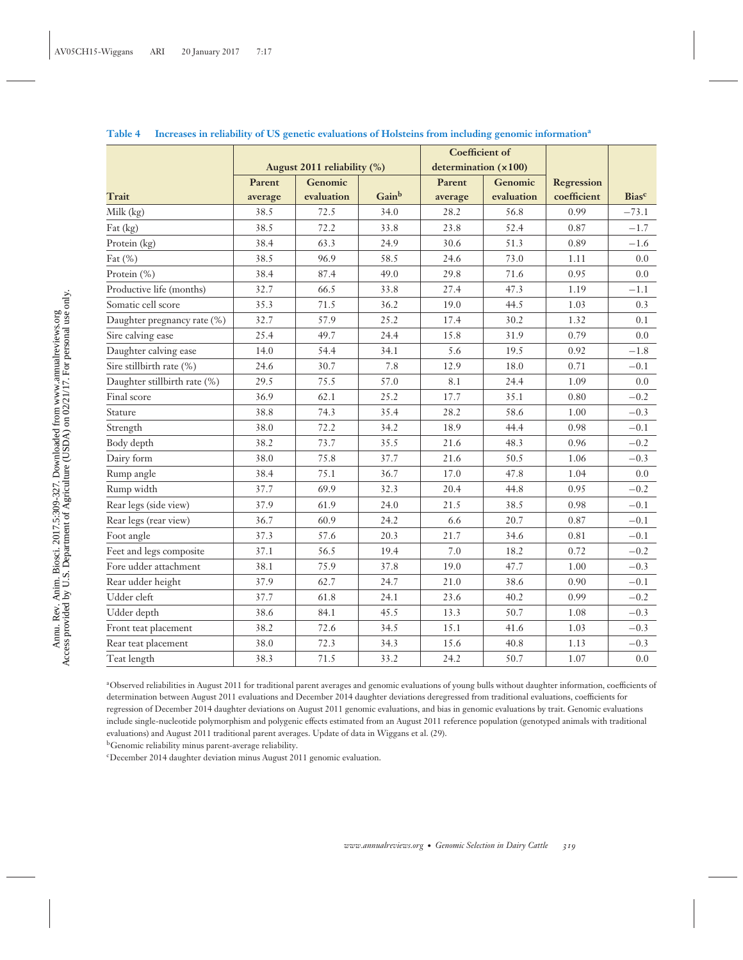|                              |                             |            |                      | <b>Coefficient of</b> |            |                   |              |
|------------------------------|-----------------------------|------------|----------------------|-----------------------|------------|-------------------|--------------|
|                              | August 2011 reliability (%) |            | determination (x100) |                       |            |                   |              |
|                              | Parent                      | Genomic    |                      | Parent                | Genomic    | <b>Regression</b> |              |
| Trait                        | average                     | evaluation | Gainb                | average               | evaluation | coefficient       | <b>Biasc</b> |
| Milk (kg)                    | 38.5                        | 72.5       | 34.0                 | 28.2                  | 56.8       | 0.99              | $-73.1$      |
| Fat (kg)                     | 38.5                        | 72.2       | 33.8                 | 23.8                  | 52.4       | 0.87              | $-1.7$       |
| Protein (kg)                 | 38.4                        | 63.3       | 24.9                 | 30.6                  | 51.3       | 0.89              | $-1.6$       |
| Fat $(\%)$                   | 38.5                        | 96.9       | 58.5                 | 24.6                  | 73.0       | 1.11              | 0.0          |
| Protein (%)                  | 38.4                        | 87.4       | 49.0                 | 29.8                  | 71.6       | 0.95              | 0.0          |
| Productive life (months)     | 32.7                        | 66.5       | 33.8                 | 27.4                  | 47.3       | 1.19              | $-1.1$       |
| Somatic cell score           | 35.3                        | 71.5       | 36.2                 | 19.0                  | 44.5       | 1.03              | 0.3          |
| Daughter pregnancy rate (%)  | 32.7                        | 57.9       | 25.2                 | 17.4                  | 30.2       | 1.32              | 0.1          |
| Sire calving ease            | 25.4                        | 49.7       | 24.4                 | 15.8                  | 31.9       | 0.79              | 0.0          |
| Daughter calving ease        | 14.0                        | 54.4       | 34.1                 | 5.6                   | 19.5       | 0.92              | $-1.8$       |
| Sire stillbirth rate (%)     | 24.6                        | 30.7       | 7.8                  | 12.9                  | 18.0       | 0.71              | $-0.1$       |
| Daughter stillbirth rate (%) | 29.5                        | 75.5       | 57.0                 | 8.1                   | 24.4       | 1.09              | 0.0          |
| Final score                  | 36.9                        | 62.1       | 25.2                 | 17.7                  | 35.1       | 0.80              | $-0.2$       |
| Stature                      | 38.8                        | 74.3       | 35.4                 | 28.2                  | 58.6       | 1.00              | $-0.3$       |
| Strength                     | 38.0                        | 72.2       | 34.2                 | 18.9                  | 44.4       | 0.98              | $-0.1$       |
| Body depth                   | 38.2                        | 73.7       | 35.5                 | 21.6                  | 48.3       | 0.96              | $-0.2$       |
| Dairy form                   | 38.0                        | 75.8       | 37.7                 | 21.6                  | 50.5       | 1.06              | $-0.3$       |
| Rump angle                   | 38.4                        | 75.1       | 36.7                 | 17.0                  | 47.8       | 1.04              | 0.0          |
| Rump width                   | 37.7                        | 69.9       | 32.3                 | 20.4                  | 44.8       | 0.95              | $-0.2$       |
| Rear legs (side view)        | 37.9                        | 61.9       | 24.0                 | 21.5                  | 38.5       | 0.98              | $-0.1$       |
| Rear legs (rear view)        | 36.7                        | 60.9       | 24.2                 | 6.6                   | 20.7       | 0.87              | $-0.1$       |
| Foot angle                   | 37.3                        | 57.6       | 20.3                 | 21.7                  | 34.6       | 0.81              | $-0.1$       |
| Feet and legs composite      | 37.1                        | 56.5       | 19.4                 | 7.0                   | 18.2       | 0.72              | $-0.2$       |
| Fore udder attachment        | 38.1                        | 75.9       | 37.8                 | 19.0                  | 47.7       | 1.00              | $-0.3$       |
| Rear udder height            | 37.9                        | 62.7       | 24.7                 | 21.0                  | 38.6       | 0.90              | $-0.1$       |
| Udder cleft                  | 37.7                        | 61.8       | 24.1                 | 23.6                  | 40.2       | 0.99              | $-0.2$       |
| Udder depth                  | 38.6                        | 84.1       | 45.5                 | 13.3                  | 50.7       | 1.08              | $-0.3$       |
| Front teat placement         | 38.2                        | 72.6       | 34.5                 | 15.1                  | 41.6       | 1.03              | $-0.3$       |
| Rear teat placement          | 38.0                        | 72.3       | 34.3                 | 15.6                  | 40.8       | 1.13              | $-0.3$       |
| Teat length                  | 38.3                        | 71.5       | 33.2                 | 24.2                  | 50.7       | 1.07              | 0.0          |

## **Table 4 Increases in reliability of US genetic evaluations of Holsteins from including genomic information<sup>a</sup>**

aObserved reliabilities in August 2011 for traditional parent averages and genomic evaluations of young bulls without daughter information, coefficients of determination between August 2011 evaluations and December 2014 daughter deviations deregressed from traditional evaluations, coefficients for regression of December 2014 daughter deviations on August 2011 genomic evaluations, and bias in genomic evaluations by trait. Genomic evaluations include single-nucleotide polymorphism and polygenic effects estimated from an August 2011 reference population (genotyped animals with traditional evaluations) and August 2011 traditional parent averages. Update of data in Wiggans et al. (29).

bGenomic reliability minus parent-average reliability.

cDecember 2014 daughter deviation minus August 2011 genomic evaluation.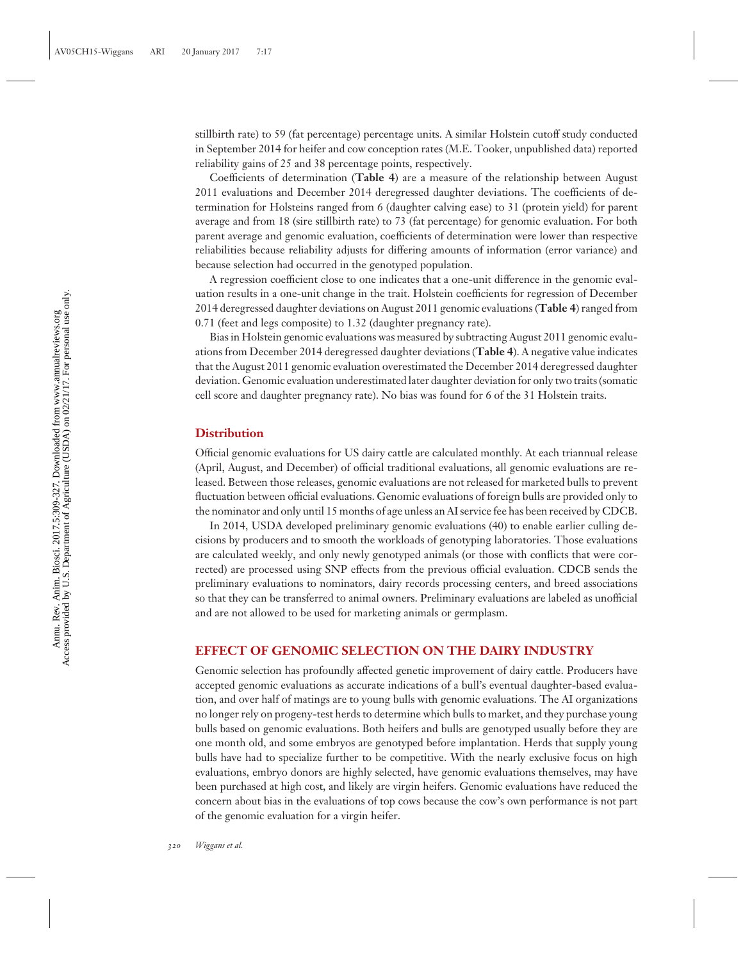stillbirth rate) to 59 (fat percentage) percentage units. A similar Holstein cutoff study conducted in September 2014 for heifer and cow conception rates (M.E. Tooker, unpublished data) reported reliability gains of 25 and 38 percentage points, respectively.

Coefficients of determination (**Table 4**) are a measure of the relationship between August 2011 evaluations and December 2014 deregressed daughter deviations. The coefficients of determination for Holsteins ranged from 6 (daughter calving ease) to 31 (protein yield) for parent average and from 18 (sire stillbirth rate) to 73 (fat percentage) for genomic evaluation. For both parent average and genomic evaluation, coefficients of determination were lower than respective reliabilities because reliability adjusts for differing amounts of information (error variance) and because selection had occurred in the genotyped population.

A regression coefficient close to one indicates that a one-unit difference in the genomic evaluation results in a one-unit change in the trait. Holstein coefficients for regression of December 2014 deregressed daughter deviations on August 2011 genomic evaluations (**Table 4**) ranged from 0.71 (feet and legs composite) to 1.32 (daughter pregnancy rate).

Bias in Holstein genomic evaluations was measured by subtracting August 2011 genomic evaluations from December 2014 deregressed daughter deviations (**Table 4**). A negative value indicates that the August 2011 genomic evaluation overestimated the December 2014 deregressed daughter deviation. Genomic evaluation underestimated later daughter deviation for only two traits (somatic cell score and daughter pregnancy rate). No bias was found for 6 of the 31 Holstein traits.

## **Distribution**

Official genomic evaluations for US dairy cattle are calculated monthly. At each triannual release (April, August, and December) of official traditional evaluations, all genomic evaluations are released. Between those releases, genomic evaluations are not released for marketed bulls to prevent fluctuation between official evaluations. Genomic evaluations of foreign bulls are provided only to the nominator and only until 15 months of age unless an AI service fee has been received by CDCB.

In 2014, USDA developed preliminary genomic evaluations (40) to enable earlier culling decisions by producers and to smooth the workloads of genotyping laboratories. Those evaluations are calculated weekly, and only newly genotyped animals (or those with conflicts that were corrected) are processed using SNP effects from the previous official evaluation. CDCB sends the preliminary evaluations to nominators, dairy records processing centers, and breed associations so that they can be transferred to animal owners. Preliminary evaluations are labeled as unofficial and are not allowed to be used for marketing animals or germplasm.

## **EFFECT OF GENOMIC SELECTION ON THE DAIRY INDUSTRY**

Genomic selection has profoundly affected genetic improvement of dairy cattle. Producers have accepted genomic evaluations as accurate indications of a bull's eventual daughter-based evaluation, and over half of matings are to young bulls with genomic evaluations. The AI organizations no longer rely on progeny-test herds to determine which bulls to market, and they purchase young bulls based on genomic evaluations. Both heifers and bulls are genotyped usually before they are one month old, and some embryos are genotyped before implantation. Herds that supply young bulls have had to specialize further to be competitive. With the nearly exclusive focus on high evaluations, embryo donors are highly selected, have genomic evaluations themselves, may have been purchased at high cost, and likely are virgin heifers. Genomic evaluations have reduced the concern about bias in the evaluations of top cows because the cow's own performance is not part of the genomic evaluation for a virgin heifer.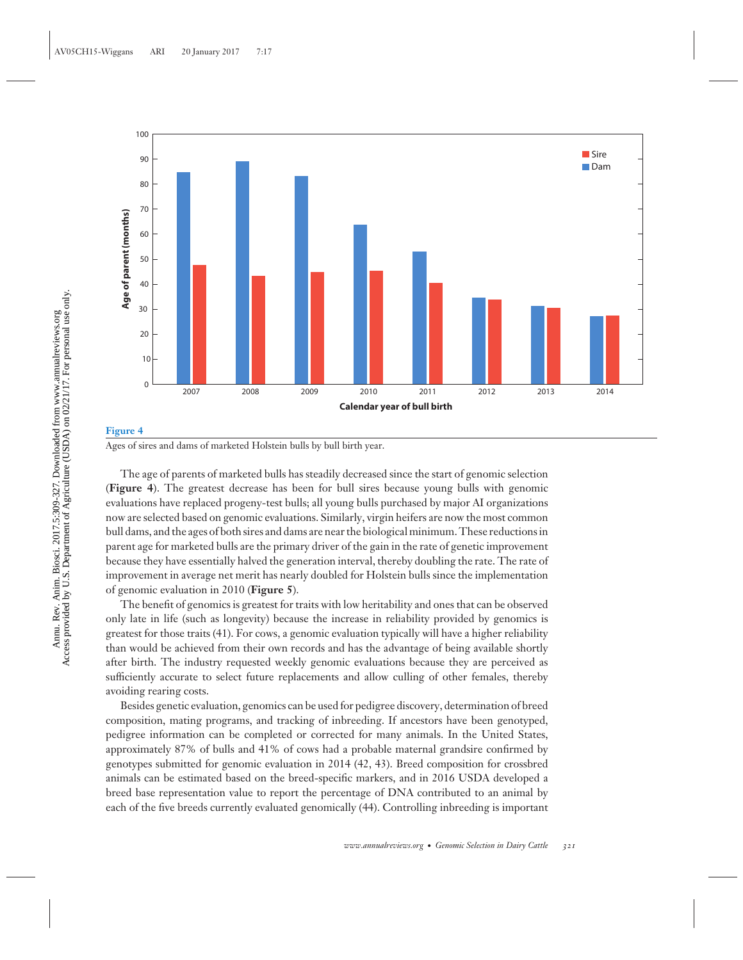

## **Figure 4** Ages of sires and dams of marketed Holstein bulls by bull birth year.

The age of parents of marketed bulls has steadily decreased since the start of genomic selection (**Figure 4**). The greatest decrease has been for bull sires because young bulls with genomic evaluations have replaced progeny-test bulls; all young bulls purchased by major AI organizations now are selected based on genomic evaluations. Similarly, virgin heifers are now the most common bull dams, and the ages of both sires and dams are near the biological minimum. These reductions in parent age for marketed bulls are the primary driver of the gain in the rate of genetic improvement because they have essentially halved the generation interval, thereby doubling the rate. The rate of improvement in average net merit has nearly doubled for Holstein bulls since the implementation of genomic evaluation in 2010 (**Figure 5**).

The benefit of genomics is greatest for traits with low heritability and ones that can be observed only late in life (such as longevity) because the increase in reliability provided by genomics is greatest for those traits (41). For cows, a genomic evaluation typically will have a higher reliability than would be achieved from their own records and has the advantage of being available shortly after birth. The industry requested weekly genomic evaluations because they are perceived as sufficiently accurate to select future replacements and allow culling of other females, thereby avoiding rearing costs.

Besides genetic evaluation, genomics can be used for pedigree discovery, determination of breed composition, mating programs, and tracking of inbreeding. If ancestors have been genotyped, pedigree information can be completed or corrected for many animals. In the United States, approximately 87% of bulls and 41% of cows had a probable maternal grandsire confirmed by genotypes submitted for genomic evaluation in 2014 (42, 43). Breed composition for crossbred animals can be estimated based on the breed-specific markers, and in 2016 USDA developed a breed base representation value to report the percentage of DNA contributed to an animal by each of the five breeds currently evaluated genomically (44). Controlling inbreeding is important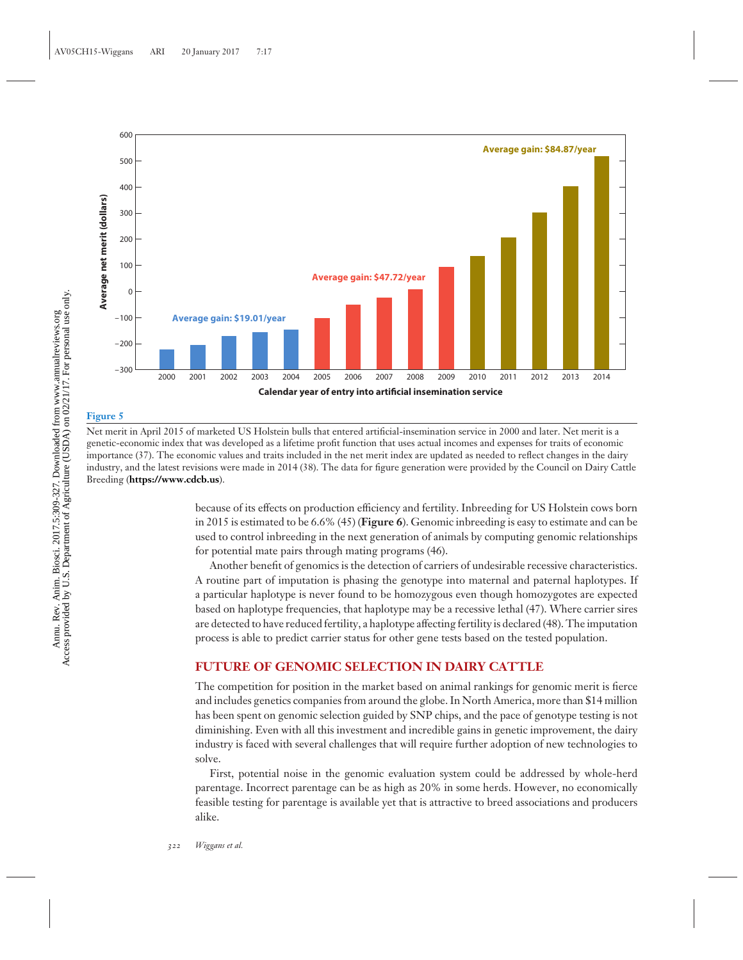

## **Figure 5**

Net merit in April 2015 of marketed US Holstein bulls that entered artificial-insemination service in 2000 and later. Net merit is a genetic-economic index that was developed as a lifetime profit function that uses actual incomes and expenses for traits of economic importance (37). The economic values and traits included in the net merit index are updated as needed to reflect changes in the dairy industry, and the latest revisions were made in 2014 (38). The data for figure generation were provided by the Council on Dairy Cattle Breeding (**<https://www.cdcb.us>**).

> because of its effects on production efficiency and fertility. Inbreeding for US Holstein cows born in 2015 is estimated to be 6.6% (45) (**Figure 6**). Genomic inbreeding is easy to estimate and can be used to control inbreeding in the next generation of animals by computing genomic relationships for potential mate pairs through mating programs (46).

> Another benefit of genomics is the detection of carriers of undesirable recessive characteristics. A routine part of imputation is phasing the genotype into maternal and paternal haplotypes. If a particular haplotype is never found to be homozygous even though homozygotes are expected based on haplotype frequencies, that haplotype may be a recessive lethal (47). Where carrier sires are detected to have reduced fertility, a haplotype affecting fertility is declared (48). The imputation process is able to predict carrier status for other gene tests based on the tested population.

## **FUTURE OF GENOMIC SELECTION IN DAIRY CATTLE**

The competition for position in the market based on animal rankings for genomic merit is fierce and includes genetics companies from around the globe. In North America, more than \$14 million has been spent on genomic selection guided by SNP chips, and the pace of genotype testing is not diminishing. Even with all this investment and incredible gains in genetic improvement, the dairy industry is faced with several challenges that will require further adoption of new technologies to solve.

First, potential noise in the genomic evaluation system could be addressed by whole-herd parentage. Incorrect parentage can be as high as 20% in some herds. However, no economically feasible testing for parentage is available yet that is attractive to breed associations and producers alike.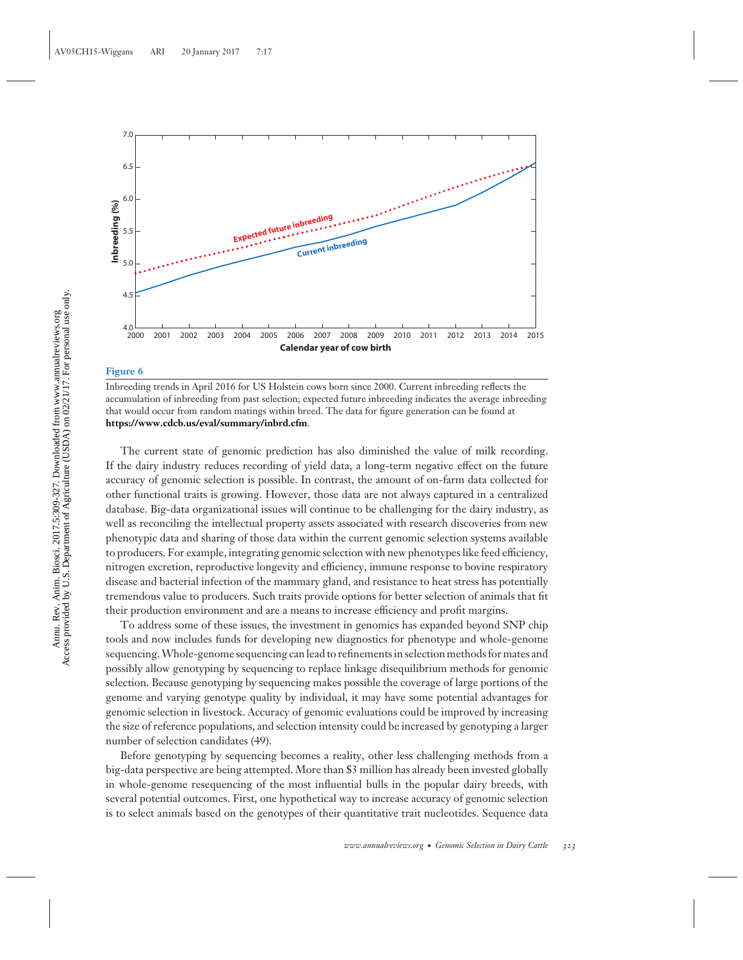

### **Figure 6**

Inbreeding trends in April 2016 for US Holstein cows born since 2000. Current inbreeding reflects the accumulation of inbreeding from past selection; expected future inbreeding indicates the average inbreeding that would occur from random matings within breed. The data for figure generation can be found at **<https://www.cdcb.us/eval/summary/inbrd.cfm>**.

The current state of genomic prediction has also diminished the value of milk recording. If the dairy industry reduces recording of yield data, a long-term negative effect on the future accuracy of genomic selection is possible. In contrast, the amount of on-farm data collected for other functional traits is growing. However, those data are not always captured in a centralized database. Big-data organizational issues will continue to be challenging for the dairy industry, as well as reconciling the intellectual property assets associated with research discoveries from new phenotypic data and sharing of those data within the current genomic selection systems available to producers. For example, integrating genomic selection with new phenotypes like feed efficiency, nitrogen excretion, reproductive longevity and efficiency, immune response to bovine respiratory disease and bacterial infection of the mammary gland, and resistance to heat stress has potentially tremendous value to producers. Such traits provide options for better selection of animals that fit their production environment and are a means to increase efficiency and profit margins.

To address some of these issues, the investment in genomics has expanded beyond SNP chip tools and now includes funds for developing new diagnostics for phenotype and whole-genome sequencing.Whole-genome sequencing can lead to refinements in selection methods for mates and possibly allow genotyping by sequencing to replace linkage disequilibrium methods for genomic selection. Because genotyping by sequencing makes possible the coverage of large portions of the genome and varying genotype quality by individual, it may have some potential advantages for genomic selection in livestock. Accuracy of genomic evaluations could be improved by increasing the size of reference populations, and selection intensity could be increased by genotyping a larger number of selection candidates (49).

Before genotyping by sequencing becomes a reality, other less challenging methods from a big-data perspective are being attempted. More than \$3 million has already been invested globally in whole-genome resequencing of the most influential bulls in the popular dairy breeds, with several potential outcomes. First, one hypothetical way to increase accuracy of genomic selection is to select animals based on the genotypes of their quantitative trait nucleotides. Sequence data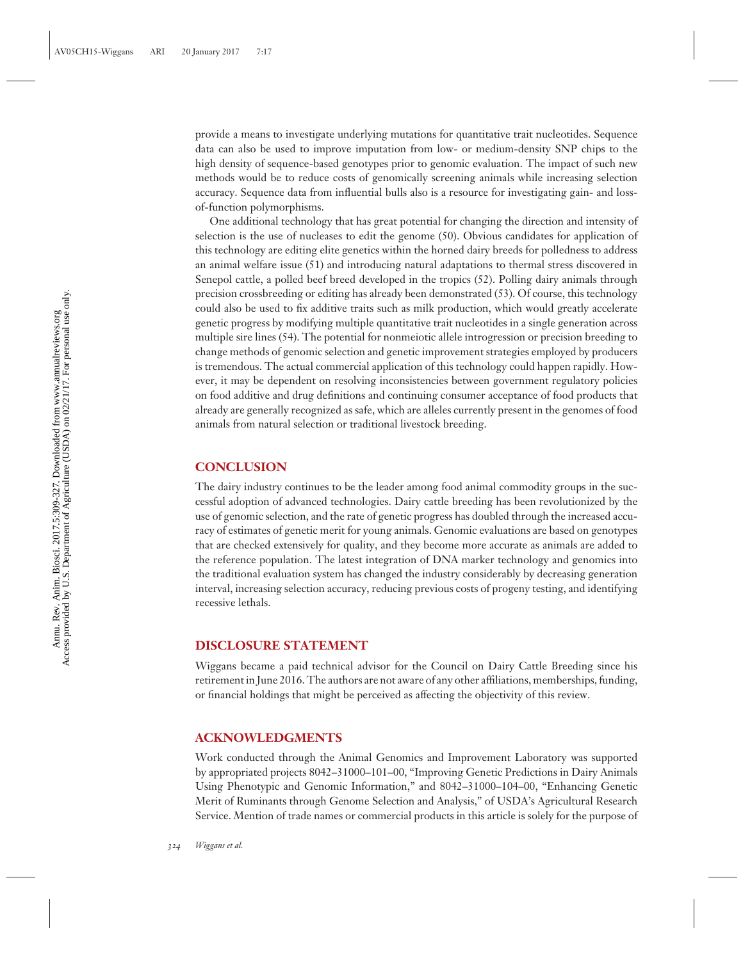provide a means to investigate underlying mutations for quantitative trait nucleotides. Sequence data can also be used to improve imputation from low- or medium-density SNP chips to the high density of sequence-based genotypes prior to genomic evaluation. The impact of such new methods would be to reduce costs of genomically screening animals while increasing selection accuracy. Sequence data from influential bulls also is a resource for investigating gain- and lossof-function polymorphisms.

One additional technology that has great potential for changing the direction and intensity of selection is the use of nucleases to edit the genome (50). Obvious candidates for application of this technology are editing elite genetics within the horned dairy breeds for polledness to address an animal welfare issue (51) and introducing natural adaptations to thermal stress discovered in Senepol cattle, a polled beef breed developed in the tropics (52). Polling dairy animals through precision crossbreeding or editing has already been demonstrated (53). Of course, this technology could also be used to fix additive traits such as milk production, which would greatly accelerate genetic progress by modifying multiple quantitative trait nucleotides in a single generation across multiple sire lines (54). The potential for nonmeiotic allele introgression or precision breeding to change methods of genomic selection and genetic improvement strategies employed by producers is tremendous. The actual commercial application of this technology could happen rapidly. However, it may be dependent on resolving inconsistencies between government regulatory policies on food additive and drug definitions and continuing consumer acceptance of food products that already are generally recognized as safe, which are alleles currently present in the genomes of food animals from natural selection or traditional livestock breeding.

## **CONCLUSION**

The dairy industry continues to be the leader among food animal commodity groups in the successful adoption of advanced technologies. Dairy cattle breeding has been revolutionized by the use of genomic selection, and the rate of genetic progress has doubled through the increased accuracy of estimates of genetic merit for young animals. Genomic evaluations are based on genotypes that are checked extensively for quality, and they become more accurate as animals are added to the reference population. The latest integration of DNA marker technology and genomics into the traditional evaluation system has changed the industry considerably by decreasing generation interval, increasing selection accuracy, reducing previous costs of progeny testing, and identifying recessive lethals.

## **DISCLOSURE STATEMENT**

Wiggans became a paid technical advisor for the Council on Dairy Cattle Breeding since his retirement in June 2016. The authors are not aware of any other affiliations, memberships, funding, or financial holdings that might be perceived as affecting the objectivity of this review.

## **ACKNOWLEDGMENTS**

Work conducted through the Animal Genomics and Improvement Laboratory was supported by appropriated projects 8042–31000–101–00, "Improving Genetic Predictions in Dairy Animals Using Phenotypic and Genomic Information," and 8042–31000–104–00, "Enhancing Genetic Merit of Ruminants through Genome Selection and Analysis," of USDA's Agricultural Research Service. Mention of trade names or commercial products in this article is solely for the purpose of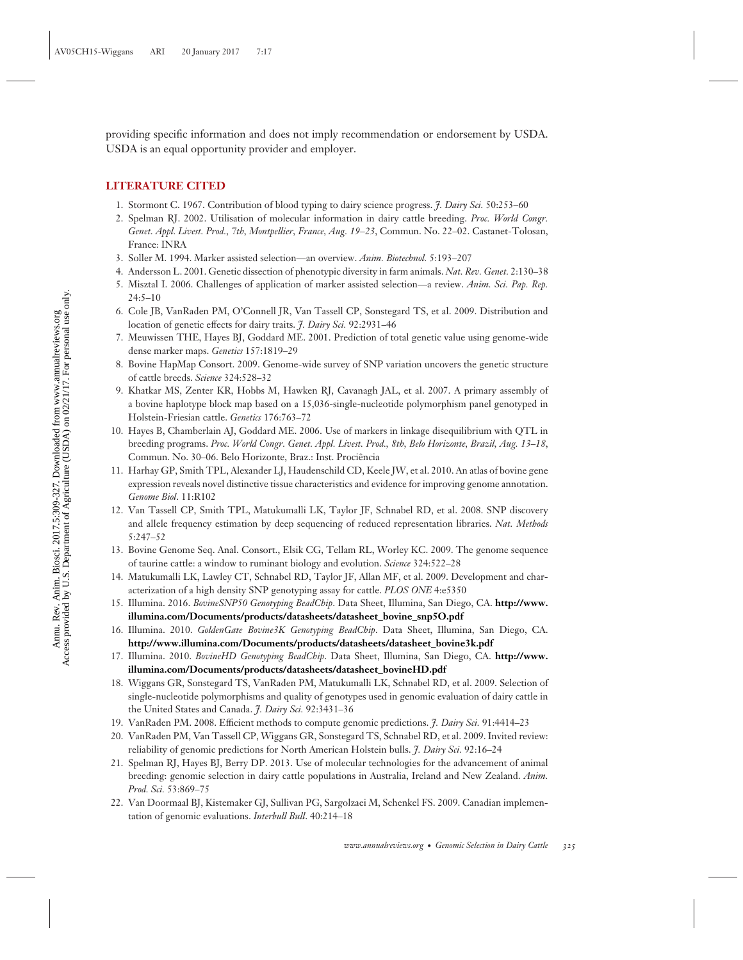providing specific information and does not imply recommendation or endorsement by USDA. USDA is an equal opportunity provider and employer.

## **LITERATURE CITED**

- 1. Stormont C. 1967. Contribution of blood typing to dairy science progress. *J. Dairy Sci.* 50:253–60
- 2. Spelman RJ. 2002. Utilisation of molecular information in dairy cattle breeding. *Proc. World Congr. Genet. Appl. Livest. Prod., 7th, Montpellier, France, Aug. 19–23*, Commun. No. 22–02. Castanet-Tolosan, France: INRA
- 3. Soller M. 1994. Marker assisted selection—an overview. *Anim. Biotechnol.* 5:193–207
- 4. Andersson L. 2001. Genetic dissection of phenotypic diversity in farm animals. *Nat. Rev. Genet.* 2:130–38
- 5. Misztal I. 2006. Challenges of application of marker assisted selection—a review. *Anim. Sci. Pap. Rep.* 24:5–10
- 6. Cole JB, VanRaden PM, O'Connell JR, Van Tassell CP, Sonstegard TS, et al. 2009. Distribution and location of genetic effects for dairy traits. *J. Dairy Sci.* 92:2931–46
- 7. Meuwissen THE, Hayes BJ, Goddard ME. 2001. Prediction of total genetic value using genome-wide dense marker maps. *Genetics* 157:1819–29
- 8. Bovine HapMap Consort. 2009. Genome-wide survey of SNP variation uncovers the genetic structure of cattle breeds. *Science* 324:528–32
- 9. Khatkar MS, Zenter KR, Hobbs M, Hawken RJ, Cavanagh JAL, et al. 2007. A primary assembly of a bovine haplotype block map based on a 15,036-single-nucleotide polymorphism panel genotyped in Holstein-Friesian cattle. *Genetics* 176:763–72
- 10. Hayes B, Chamberlain AJ, Goddard ME. 2006. Use of markers in linkage disequilibrium with QTL in breeding programs. *Proc. World Congr. Genet. Appl. Livest. Prod., 8th, Belo Horizonte, Brazil, Aug. 13–18*, Commun. No. 30–06. Belo Horizonte, Braz.: Inst. Prociencia ˆ
- 11. Harhay GP, Smith TPL, Alexander LJ, Haudenschild CD, Keele JW, et al. 2010. An atlas of bovine gene expression reveals novel distinctive tissue characteristics and evidence for improving genome annotation. *Genome Biol*. 11:R102
- 12. Van Tassell CP, Smith TPL, Matukumalli LK, Taylor JF, Schnabel RD, et al. 2008. SNP discovery and allele frequency estimation by deep sequencing of reduced representation libraries. *Nat. Methods* 5:247–52
- 13. Bovine Genome Seq. Anal. Consort., Elsik CG, Tellam RL, Worley KC. 2009. The genome sequence of taurine cattle: a window to ruminant biology and evolution. *Science* 324:522–28
- 14. Matukumalli LK, Lawley CT, Schnabel RD, Taylor JF, Allan MF, et al. 2009. Development and characterization of a high density SNP genotyping assay for cattle. *PLOS ONE* 4:e5350
- 15. Illumina. 2016. *BovineSNP50 Genotyping BeadChip*. Data Sheet, Illumina, San Diego, CA. **[http://www.](http://www.illumina.com/Documents/products/datasheets/datasheet_bovine_snp5O.pdf) [illumina.com/Documents/products/datasheets/datasheet\\_bovine\\_snp5O.pdf](http://www.illumina.com/Documents/products/datasheets/datasheet_bovine_snp5O.pdf)**
- 16. Illumina. 2010. *GoldenGate Bovine3K Genotyping BeadChip*. Data Sheet, Illumina, San Diego, CA. **[http://www.illumina.com/Documents/products/datasheets/datasheet\\_bovine3k.pdf](http://www.illumina.com/Documents/products/datasheets/datasheet_bovine3k.pdf)**
- 17. Illumina. 2010. *BovineHD Genotyping BeadChip*. Data Sheet, Illumina, San Diego, CA. **[http://www.](http://www.illumina.com/Documents/products/datasheets/datasheet_bovineHD.pdf) [illumina.com/Documents/products/datasheets/datasheet\\_bovineHD.pdf](http://www.illumina.com/Documents/products/datasheets/datasheet_bovineHD.pdf)**
- 18. Wiggans GR, Sonstegard TS, VanRaden PM, Matukumalli LK, Schnabel RD, et al. 2009. Selection of single-nucleotide polymorphisms and quality of genotypes used in genomic evaluation of dairy cattle in the United States and Canada. *J. Dairy Sci.* 92:3431–36
- 19. VanRaden PM. 2008. Efficient methods to compute genomic predictions. *J. Dairy Sci.* 91:4414–23
- 20. VanRaden PM, Van Tassell CP, Wiggans GR, Sonstegard TS, Schnabel RD, et al. 2009. Invited review: reliability of genomic predictions for North American Holstein bulls. *J. Dairy Sci.* 92:16–24
- 21. Spelman RJ, Hayes BJ, Berry DP. 2013. Use of molecular technologies for the advancement of animal breeding: genomic selection in dairy cattle populations in Australia, Ireland and New Zealand. *Anim. Prod. Sci.* 53:869–75
- 22. Van Doormaal BJ, Kistemaker GJ, Sullivan PG, Sargolzaei M, Schenkel FS. 2009. Canadian implementation of genomic evaluations. *Interbull Bull*. 40:214–18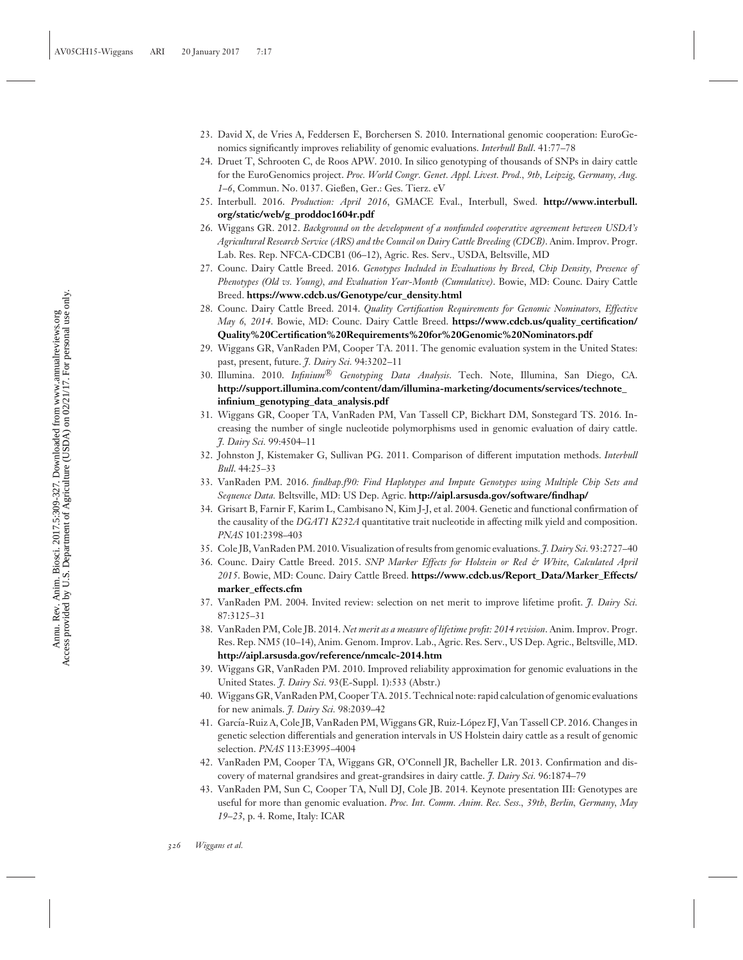- 23. David X, de Vries A, Feddersen E, Borchersen S. 2010. International genomic cooperation: EuroGenomics significantly improves reliability of genomic evaluations. *Interbull Bull*. 41:77–78
- 24. Druet T, Schrooten C, de Roos APW. 2010. In silico genotyping of thousands of SNPs in dairy cattle for the EuroGenomics project. *Proc. World Congr. Genet. Appl. Livest. Prod., 9th, Leipzig, Germany, Aug. 1–6*, Commun. No. 0137. Gießen, Ger.: Ges. Tierz. eV
- 25. Interbull. 2016. *Production: April 2016*, GMACE Eval., Interbull, Swed. **[http://www.interbull.](http://www.interbull.org/static/web/g_proddoc1604r.pdf) [org/static/web/g\\_proddoc1604r.pdf](http://www.interbull.org/static/web/g_proddoc1604r.pdf)**
- 26. Wiggans GR. 2012. *Background on the development of a nonfunded cooperative agreement between USDA's Agricultural Research Service (ARS) and the Council on Dairy Cattle Breeding (CDCB)*. Anim. Improv. Progr. Lab. Res. Rep. NFCA-CDCB1 (06–12), Agric. Res. Serv., USDA, Beltsville, MD
- 27. Counc. Dairy Cattle Breed. 2016. *Genotypes Included in Evaluations by Breed, Chip Density, Presence of Phenotypes (Old vs. Young), and Evaluation Year-Month (Cumulative)*. Bowie, MD: Counc. Dairy Cattle Breed. **[https://www.cdcb.us/Genotype/cur\\_density.html](https://www.cdcb.us/Genotype/cur_density.html)**
- 28. Counc. Dairy Cattle Breed. 2014. *Quality Certification Requirements for Genomic Nominators, Effective May 6, 2014*. Bowie, MD: Counc. Dairy Cattle Breed. **[https://www.cdcb.us/quality\\_certification/](https://www.cdcb.us/quality_certification/Quality%20Certification%20Requirements%20for%20Genomic%20Nominators.pdf) [Quality%20Certification%20Requirements%20for%20Genomic%20Nominators.pdf](https://www.cdcb.us/quality_certification/Quality%20Certification%20Requirements%20for%20Genomic%20Nominators.pdf)**
- 29. Wiggans GR, VanRaden PM, Cooper TA. 2011. The genomic evaluation system in the United States: past, present, future. *J. Dairy Sci.* 94:3202–11
- 30. Illumina. 2010. *Infinium*-<sup>R</sup> *Genotyping Data Analysis*. Tech. Note, Illumina, San Diego, CA. **[http://support.illumina.com/content/dam/illumina-marketing/documents/services/technote\\_](http://support.illumina.com/content/dam/illumina-marketing/documents/services/technote_infinium_genotyping_data_analysis.pdf) [infinium\\_genotyping\\_data\\_analysis.pdf](http://support.illumina.com/content/dam/illumina-marketing/documents/services/technote_infinium_genotyping_data_analysis.pdf)**
- 31. Wiggans GR, Cooper TA, VanRaden PM, Van Tassell CP, Bickhart DM, Sonstegard TS. 2016. Increasing the number of single nucleotide polymorphisms used in genomic evaluation of dairy cattle. *J. Dairy Sci.* 99:4504–11
- 32. Johnston J, Kistemaker G, Sullivan PG. 2011. Comparison of different imputation methods. *Interbull Bull*. 44:25–33
- 33. VanRaden PM. 2016. *findhap.f90: Find Haplotypes and Impute Genotypes using Multiple Chip Sets and Sequence Data.* Beltsville, MD: US Dep. Agric. **<http://aipl.arsusda.gov/software/findhap/>**
- 34. Grisart B, Farnir F, Karim L, Cambisano N, Kim J-J, et al. 2004. Genetic and functional confirmation of the causality of the *DGAT1 K232A* quantitative trait nucleotide in affecting milk yield and composition. *PNAS* 101:2398–403
- 35. Cole JB, VanRaden PM. 2010. Visualization of results from genomic evaluations. *J. Dairy Sci.* 93:2727–40
- 36. Counc. Dairy Cattle Breed. 2015. *SNP Marker Effects for Holstein or Red & White, Calculated April 2015*. Bowie, MD: Counc. Dairy Cattle Breed. **[https://www.cdcb.us/Report\\_Data/Marker\\_Effects/](https://www.cdcb.us/Report_Data/Marker_Effects/marker_effects.cfm) [marker\\_effects.cfm](https://www.cdcb.us/Report_Data/Marker_Effects/marker_effects.cfm)**
- 37. VanRaden PM. 2004. Invited review: selection on net merit to improve lifetime profit. *J. Dairy Sci.* 87:3125–31
- 38. VanRaden PM, Cole JB. 2014. *Net merit as a measure of lifetime profit: 2014 revision*. Anim. Improv. Progr. Res. Rep. NM5 (10–14), Anim. Genom. Improv. Lab., Agric. Res. Serv., US Dep. Agric., Beltsville, MD. **<http://aipl.arsusda.gov/reference/nmcalc-2014.htm>**
- 39. Wiggans GR, VanRaden PM. 2010. Improved reliability approximation for genomic evaluations in the United States. *J. Dairy Sci.* 93(E-Suppl. 1):533 (Abstr.)
- 40. Wiggans GR, VanRaden PM, Cooper TA. 2015. Technical note: rapid calculation of genomic evaluations for new animals. *J. Dairy Sci.* 98:2039–42
- 41. García-Ruiz A, Cole JB, VanRaden PM, Wiggans GR, Ruiz-López FJ, Van Tassell CP. 2016. Changes in genetic selection differentials and generation intervals in US Holstein dairy cattle as a result of genomic selection. *PNAS* 113:E3995–4004
- 42. VanRaden PM, Cooper TA, Wiggans GR, O'Connell JR, Bacheller LR. 2013. Confirmation and discovery of maternal grandsires and great-grandsires in dairy cattle. *J. Dairy Sci.* 96:1874–79
- 43. VanRaden PM, Sun C, Cooper TA, Null DJ, Cole JB. 2014. Keynote presentation III: Genotypes are useful for more than genomic evaluation. *Proc. Int. Comm. Anim. Rec. Sess., 39th, Berlin, Germany, May 19–23*, p. 4. Rome, Italy: ICAR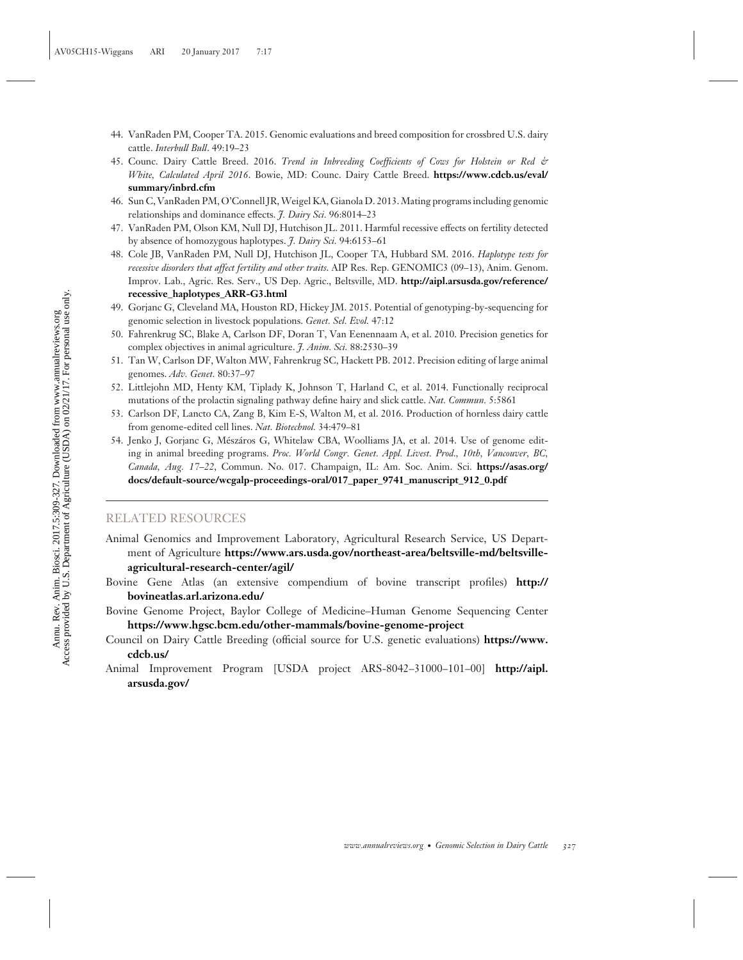- 44. VanRaden PM, Cooper TA. 2015. Genomic evaluations and breed composition for crossbred U.S. dairy cattle. *Interbull Bull*. 49:19–23
- 45. Counc. Dairy Cattle Breed. 2016. *Trend in Inbreeding Coefficients of Cows for Holstein or Red & White, Calculated April 2016*. Bowie, MD: Counc. Dairy Cattle Breed. **[https://www.cdcb.us/eval/](https://www.cdcb.us/eval/summary/inbrd.cfm) [summary/inbrd.cfm](https://www.cdcb.us/eval/summary/inbrd.cfm)**
- 46. Sun C, VanRaden PM, O'Connell JR,Weigel KA, Gianola D. 2013. Mating programs including genomic relationships and dominance effects. *J. Dairy Sci.* 96:8014–23
- 47. VanRaden PM, Olson KM, Null DJ, Hutchison JL. 2011. Harmful recessive effects on fertility detected by absence of homozygous haplotypes. *J. Dairy Sci.* 94:6153–61
- 48. Cole JB, VanRaden PM, Null DJ, Hutchison JL, Cooper TA, Hubbard SM. 2016. *Haplotype tests for recessive disorders that affect fertility and other traits*. AIP Res. Rep. GENOMIC3 (09–13), Anim. Genom. Improv. Lab., Agric. Res. Serv., US Dep. Agric., Beltsville, MD. **[http://aipl.arsusda.gov/reference/](http://aipl.arsusda.gov/reference/recessive_haplotypes_ARR-G3.html) [recessive\\_haplotypes\\_ARR-G3.html](http://aipl.arsusda.gov/reference/recessive_haplotypes_ARR-G3.html)**
- 49. Gorjanc G, Cleveland MA, Houston RD, Hickey JM. 2015. Potential of genotyping-by-sequencing for genomic selection in livestock populations. *Genet. Sel. Evol.* 47:12
- 50. Fahrenkrug SC, Blake A, Carlson DF, Doran T, Van Eenennaam A, et al. 2010. Precision genetics for complex objectives in animal agriculture. *J. Anim. Sci.* 88:2530–39
- 51. Tan W, Carlson DF, Walton MW, Fahrenkrug SC, Hackett PB. 2012. Precision editing of large animal genomes. *Adv. Genet.* 80:37–97
- 52. Littlejohn MD, Henty KM, Tiplady K, Johnson T, Harland C, et al. 2014. Functionally reciprocal mutations of the prolactin signaling pathway define hairy and slick cattle. *Nat. Commun.* 5:5861
- 53. Carlson DF, Lancto CA, Zang B, Kim E-S, Walton M, et al. 2016. Production of hornless dairy cattle from genome-edited cell lines. *Nat. Biotechnol.* 34:479–81
- 54. Jenko J, Gorjanc G, Mészáros G, Whitelaw CBA, Woolliams JA, et al. 2014. Use of genome editing in animal breeding programs. *Proc. World Congr. Genet. Appl. Livest. Prod., 10th, Vancouver, BC, Canada, Aug. 17–22*, Commun. No. 017. Champaign, IL: Am. Soc. Anim. Sci. **[https://asas.org/](https://asas.org/docs/default-source/wcgalp-proceedings-oral/017_paper_9741_manuscript_912_0.pdf) [docs/default-source/wcgalp-proceedings-oral/017\\_paper\\_9741\\_manuscript\\_912\\_0.pdf](https://asas.org/docs/default-source/wcgalp-proceedings-oral/017_paper_9741_manuscript_912_0.pdf)**

## RELATED RESOURCES

- Animal Genomics and Improvement Laboratory, Agricultural Research Service, US Department of Agriculture **[https://www.ars.usda.gov/northeast-area/beltsville-md/beltsville](https://www.ars.usda.gov/northeast-area/beltsville-md/beltsville-agricultural-research-center/agil/)[agricultural-research-center/agil/](https://www.ars.usda.gov/northeast-area/beltsville-md/beltsville-agricultural-research-center/agil/)**
- Bovine Gene Atlas (an extensive compendium of bovine transcript profiles) **[http://](http://bovineatlas.arl.arizona.edu/) [bovineatlas.arl.arizona.edu/](http://bovineatlas.arl.arizona.edu/)**
- Bovine Genome Project, Baylor College of Medicine–Human Genome Sequencing Center **<https://www.hgsc.bcm.edu/other-mammals/bovine-genome-project>**
- Council on Dairy Cattle Breeding (official source for U.S. genetic evaluations) **[https://www.](https://www.cdcb.us/) [cdcb.us/](https://www.cdcb.us/)**
- Animal Improvement Program [USDA project ARS-8042–31000–101–00] **[http://aipl.](http://aipl.arsusda.gov/) [arsusda.gov/](http://aipl.arsusda.gov/)**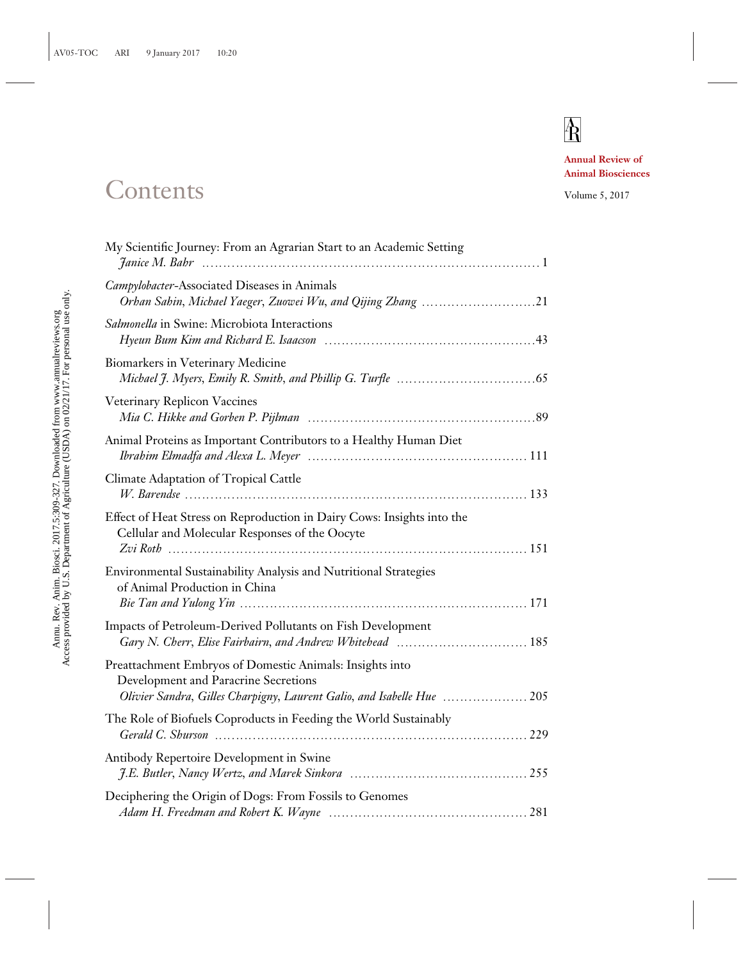## $\overline{\textbf{R}}$

**Annual Review of Animal Biosciences**

## Contents Volume 5, 2017

| My Scientific Journey: From an Agrarian Start to an Academic Setting                                                                                                       |  |
|----------------------------------------------------------------------------------------------------------------------------------------------------------------------------|--|
| Campylobacter-Associated Diseases in Animals                                                                                                                               |  |
| Salmonella in Swine: Microbiota Interactions                                                                                                                               |  |
| Biomarkers in Veterinary Medicine                                                                                                                                          |  |
| Veterinary Replicon Vaccines                                                                                                                                               |  |
| Animal Proteins as Important Contributors to a Healthy Human Diet                                                                                                          |  |
| <b>Climate Adaptation of Tropical Cattle</b>                                                                                                                               |  |
| Effect of Heat Stress on Reproduction in Dairy Cows: Insights into the<br>Cellular and Molecular Responses of the Oocyte                                                   |  |
| Environmental Sustainability Analysis and Nutritional Strategies<br>of Animal Production in China                                                                          |  |
| Impacts of Petroleum-Derived Pollutants on Fish Development<br>Gary N. Cherr, Elise Fairbairn, and Andrew Whitehead  185                                                   |  |
| Preattachment Embryos of Domestic Animals: Insights into<br>Development and Paracrine Secretions<br>Olivier Sandra, Gilles Charpigny, Laurent Galio, and Isabelle Hue  205 |  |
| The Role of Biofuels Coproducts in Feeding the World Sustainably                                                                                                           |  |
| Antibody Repertoire Development in Swine                                                                                                                                   |  |
| Deciphering the Origin of Dogs: From Fossils to Genomes                                                                                                                    |  |